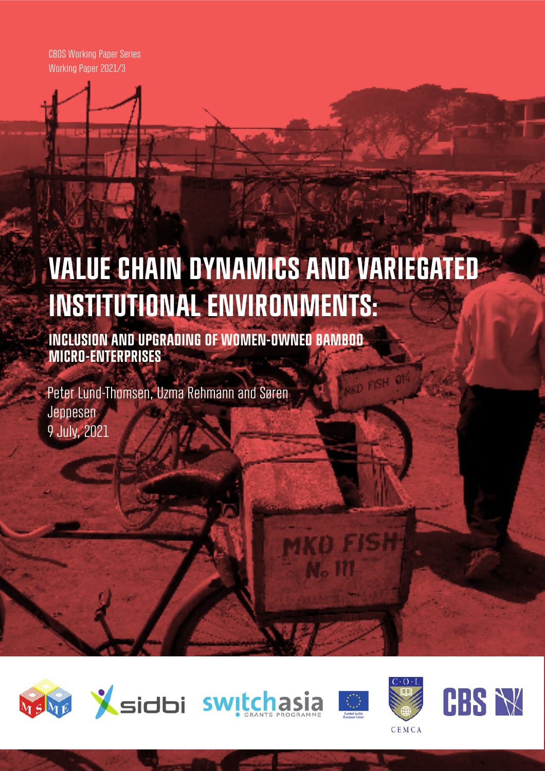CBDS Working Paper Series Working Paper 2021/3

# **VALUE CHAIN DYNAMICS AND VARIEGATED INSTITUTIONAL ENVIRONMENTS:**

**INCLUSION AND UPGRADING OF WOMEN-OWNED BAMBOO MICRO-ENTERPRISES**

Peter Lund-Thomsen, Uzma Rehmann and Søren Jeppesen 9 July, 2021









**KO FISH** 

**N**<sub>o</sub> 111



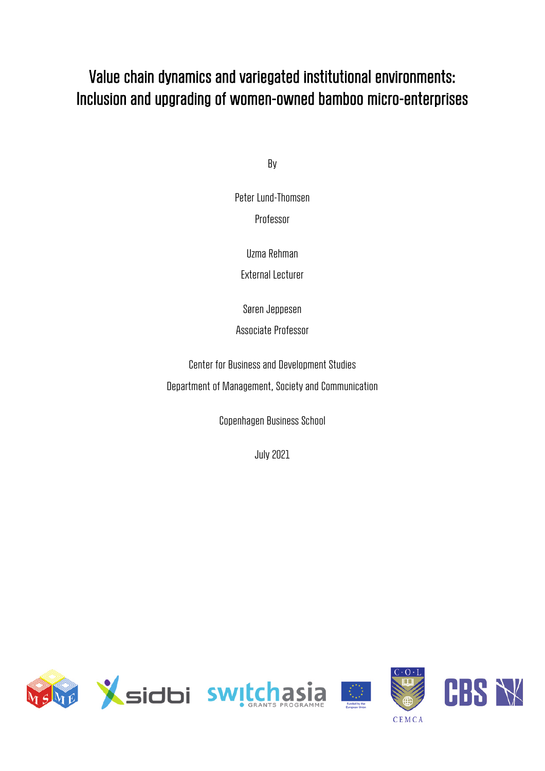## Value chain dynamics and variegated institutional environments: Inclusion and upgrading of women-owned bamboo micro-enterprises

By

Peter Lund-Thomsen Professor

Uzma Rehman

External Lecturer

Søren Jeppesen

Associate Professor

Center for Business and Development Studies Department of Management, Society and Communication

Copenhagen Business School

July 2021

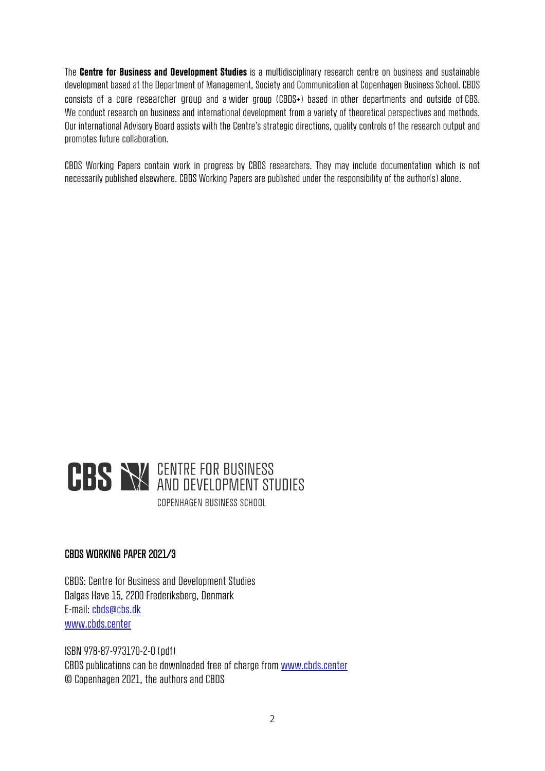The **Centre for Business and Development Studies** is a multidisciplinary research centre on business and sustainable development based at the Department of Management, Society and Communication at Copenhagen Business School. CBDS consists of a core researcher group and a wider group (CBDS+) based in other departments and outside of CBS. We conduct research on business and international development from a variety of theoretical perspectives and methods. Our international Advisory Board assists with the Centre's strategic directions, quality controls of the research output and promotes future collaboration.

CBDS Working Papers contain work in progress by CBDS researchers. They may include documentation which is not necessarily published elsewhere. CBDS Working Papers are published under the responsibility of the author(s) alone.



#### CBDS WORKING PAPER 2021/3

CBDS: Centre for Business and Development Studies Dalgas Have 15, 2200 Frederiksberg, Denmark E-mail: cbds@cbs.dk www.cbds.center

ISBN 978-87-973170-2-0 (pdf) CBDS publications can be downloaded free of charge from www.cbds.center © Copenhagen 2021, the authors and CBDS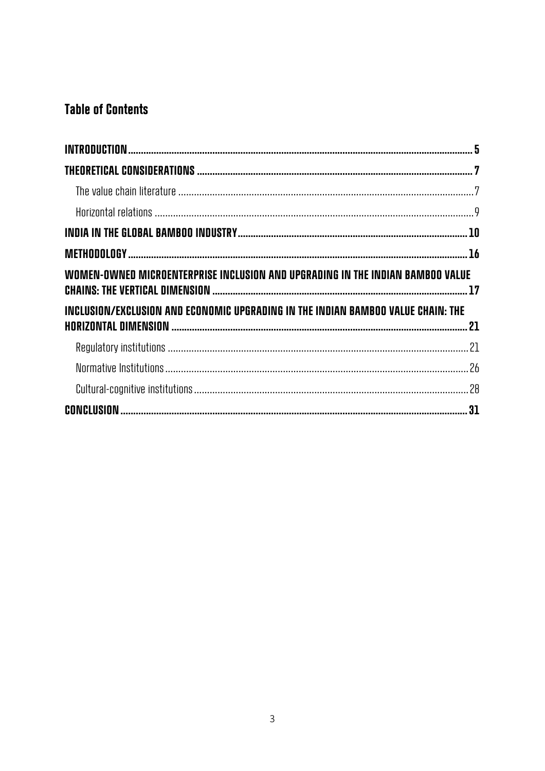## **Table of Contents**

| WOMEN-OWNED MICROENTERPRISE INCLUSION AND UPGRADING IN THE INDIAN BAMBOO VALUE   |  |
|----------------------------------------------------------------------------------|--|
| INCLUSION/EXCLUSION AND ECONOMIC UPGRADING IN THE INDIAN BAMBOO VALUE CHAIN: THE |  |
|                                                                                  |  |
|                                                                                  |  |
|                                                                                  |  |
|                                                                                  |  |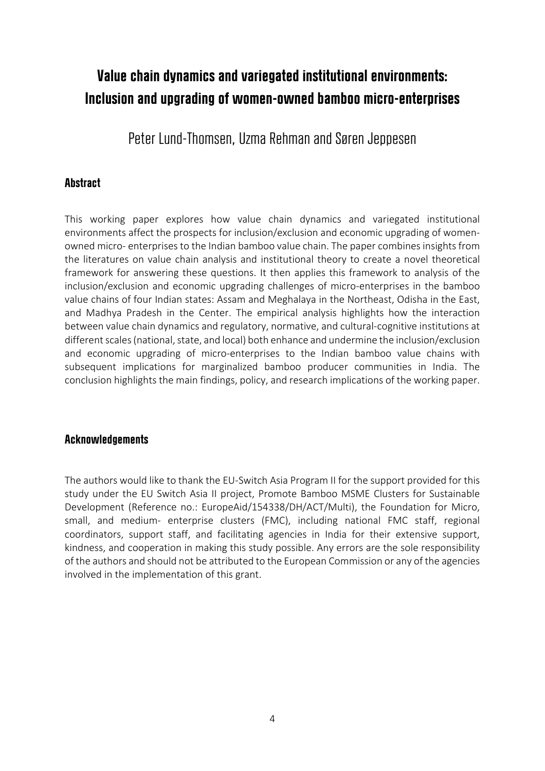## **Value chain dynamics and variegated institutional environments: Inclusion and upgrading of women-owned bamboo micro-enterprises**

Peter Lund-Thomsen, Uzma Rehman and Søren Jeppesen

#### **Abstract**

This working paper explores how value chain dynamics and variegated institutional environments affect the prospects for inclusion/exclusion and economic upgrading of womenowned micro- enterprises to the Indian bamboo value chain. The paper combines insights from the literatures on value chain analysis and institutional theory to create a novel theoretical framework for answering these questions. It then applies this framework to analysis of the inclusion/exclusion and economic upgrading challenges of micro-enterprises in the bamboo value chains of four Indian states: Assam and Meghalaya in the Northeast, Odisha in the East, and Madhya Pradesh in the Center. The empirical analysis highlights how the interaction between value chain dynamics and regulatory, normative, and cultural-cognitive institutions at different scales (national, state, and local) both enhance and undermine the inclusion/exclusion and economic upgrading of micro-enterprises to the Indian bamboo value chains with subsequent implications for marginalized bamboo producer communities in India. The conclusion highlights the main findings, policy, and research implications of the working paper.

#### **Acknowledgements**

The authors would like to thank the EU-Switch Asia Program II for the support provided for this study under the EU Switch Asia II project, Promote Bamboo MSME Clusters for Sustainable Development (Reference no.: EuropeAid/154338/DH/ACT/Multi), the Foundation for Micro, small, and medium- enterprise clusters (FMC), including national FMC staff, regional coordinators, support staff, and facilitating agencies in India for their extensive support, kindness, and cooperation in making this study possible. Any errors are the sole responsibility of the authors and should not be attributed to the European Commission or any of the agencies involved in the implementation of this grant.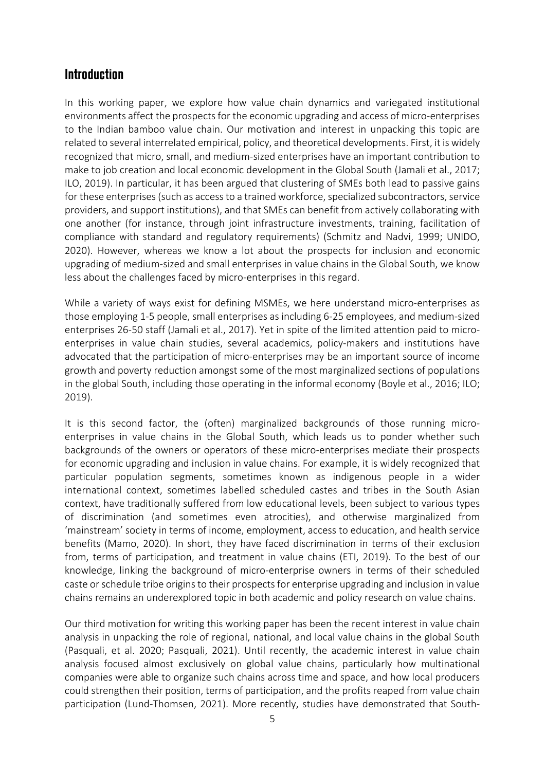#### **Introduction**

In this working paper, we explore how value chain dynamics and variegated institutional environments affect the prospects for the economic upgrading and access of micro-enterprises to the Indian bamboo value chain. Our motivation and interest in unpacking this topic are related to several interrelated empirical, policy, and theoretical developments. First, it is widely recognized that micro, small, and medium-sized enterprises have an important contribution to make to job creation and local economic development in the Global South (Jamali et al., 2017; ILO, 2019). In particular, it has been argued that clustering of SMEs both lead to passive gains for these enterprises (such as access to a trained workforce, specialized subcontractors, service providers, and support institutions), and that SMEs can benefit from actively collaborating with one another (for instance, through joint infrastructure investments, training, facilitation of compliance with standard and regulatory requirements) (Schmitz and Nadvi, 1999; UNIDO, 2020). However, whereas we know a lot about the prospects for inclusion and economic upgrading of medium-sized and small enterprises in value chains in the Global South, we know less about the challenges faced by micro-enterprises in this regard.

While a variety of ways exist for defining MSMEs, we here understand micro-enterprises as those employing 1-5 people, small enterprises as including 6-25 employees, and medium-sized enterprises 26-50 staff (Jamali et al., 2017). Yet in spite of the limited attention paid to microenterprises in value chain studies, several academics, policy-makers and institutions have advocated that the participation of micro-enterprises may be an important source of income growth and poverty reduction amongst some of the most marginalized sections of populations in the global South, including those operating in the informal economy (Boyle et al., 2016; ILO; 2019).

It is this second factor, the (often) marginalized backgrounds of those running microenterprises in value chains in the Global South, which leads us to ponder whether such backgrounds of the owners or operators of these micro-enterprises mediate their prospects for economic upgrading and inclusion in value chains. For example, it is widely recognized that particular population segments, sometimes known as indigenous people in a wider international context, sometimes labelled scheduled castes and tribes in the South Asian context, have traditionally suffered from low educational levels, been subject to various types of discrimination (and sometimes even atrocities), and otherwise marginalized from 'mainstream' society in terms of income, employment, access to education, and health service benefits (Mamo, 2020). In short, they have faced discrimination in terms of their exclusion from, terms of participation, and treatment in value chains (ETI, 2019). To the best of our knowledge, linking the background of micro-enterprise owners in terms of their scheduled caste or schedule tribe origins to their prospects for enterprise upgrading and inclusion in value chains remains an underexplored topic in both academic and policy research on value chains.

Our third motivation for writing this working paper has been the recent interest in value chain analysis in unpacking the role of regional, national, and local value chains in the global South (Pasquali, et al. 2020; Pasquali, 2021). Until recently, the academic interest in value chain analysis focused almost exclusively on global value chains, particularly how multinational companies were able to organize such chains across time and space, and how local producers could strengthen their position, terms of participation, and the profits reaped from value chain participation (Lund-Thomsen, 2021). More recently, studies have demonstrated that South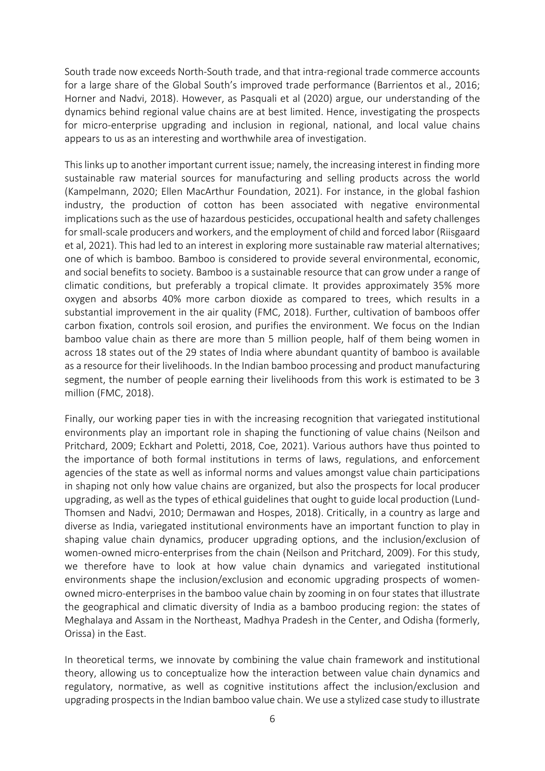South trade now exceeds North-South trade, and that intra-regional trade commerce accounts for a large share of the Global South's improved trade performance (Barrientos et al., 2016; Horner and Nadvi, 2018). However, as Pasquali et al (2020) argue, our understanding of the dynamics behind regional value chains are at best limited. Hence, investigating the prospects for micro-enterprise upgrading and inclusion in regional, national, and local value chains appears to us as an interesting and worthwhile area of investigation.

This links up to another important current issue; namely, the increasing interest in finding more sustainable raw material sources for manufacturing and selling products across the world (Kampelmann, 2020; Ellen MacArthur Foundation, 2021). For instance, in the global fashion industry, the production of cotton has been associated with negative environmental implications such as the use of hazardous pesticides, occupational health and safety challenges for small-scale producers and workers, and the employment of child and forced labor (Riisgaard et al, 2021). This had led to an interest in exploring more sustainable raw material alternatives; one of which is bamboo. Bamboo is considered to provide several environmental, economic, and social benefits to society. Bamboo is a sustainable resource that can grow under a range of climatic conditions, but preferably a tropical climate. It provides approximately 35% more oxygen and absorbs 40% more carbon dioxide as compared to trees, which results in a substantial improvement in the air quality (FMC, 2018). Further, cultivation of bamboos offer carbon fixation, controls soil erosion, and purifies the environment. We focus on the Indian bamboo value chain as there are more than 5 million people, half of them being women in across 18 states out of the 29 states of India where abundant quantity of bamboo is available as a resource for their livelihoods. In the Indian bamboo processing and product manufacturing segment, the number of people earning their livelihoods from this work is estimated to be 3 million (FMC, 2018).

Finally, our working paper ties in with the increasing recognition that variegated institutional environments play an important role in shaping the functioning of value chains (Neilson and Pritchard, 2009; Eckhart and Poletti, 2018, Coe, 2021). Various authors have thus pointed to the importance of both formal institutions in terms of laws, regulations, and enforcement agencies of the state as well as informal norms and values amongst value chain participations in shaping not only how value chains are organized, but also the prospects for local producer upgrading, as well as the types of ethical guidelines that ought to guide local production (Lund-Thomsen and Nadvi, 2010; Dermawan and Hospes, 2018). Critically, in a country as large and diverse as India, variegated institutional environments have an important function to play in shaping value chain dynamics, producer upgrading options, and the inclusion/exclusion of women-owned micro-enterprises from the chain (Neilson and Pritchard, 2009). For this study, we therefore have to look at how value chain dynamics and variegated institutional environments shape the inclusion/exclusion and economic upgrading prospects of womenowned micro-enterprises in the bamboo value chain by zooming in on four states that illustrate the geographical and climatic diversity of India as a bamboo producing region: the states of Meghalaya and Assam in the Northeast, Madhya Pradesh in the Center, and Odisha (formerly, Orissa) in the East.

In theoretical terms, we innovate by combining the value chain framework and institutional theory, allowing us to conceptualize how the interaction between value chain dynamics and regulatory, normative, as well as cognitive institutions affect the inclusion/exclusion and upgrading prospects in the Indian bamboo value chain. We use a stylized case study to illustrate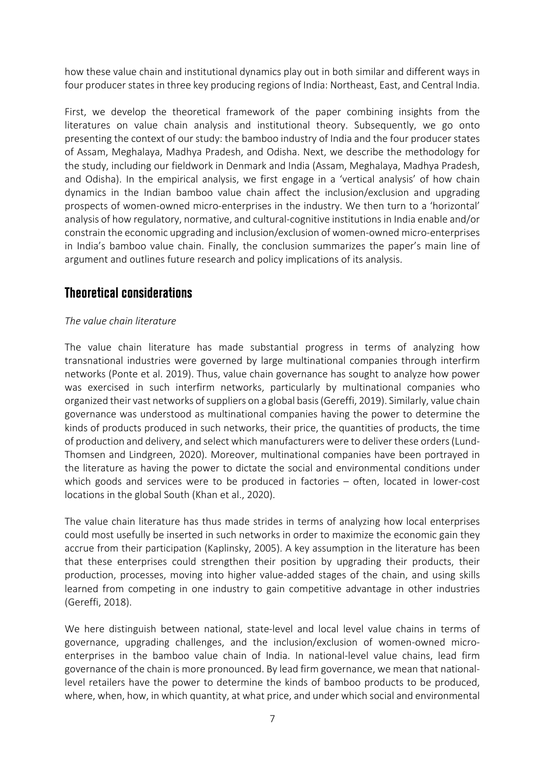how these value chain and institutional dynamics play out in both similar and different ways in four producer states in three key producing regions of India: Northeast, East, and Central India.

First, we develop the theoretical framework of the paper combining insights from the literatures on value chain analysis and institutional theory. Subsequently, we go onto presenting the context of our study: the bamboo industry of India and the four producer states of Assam, Meghalaya, Madhya Pradesh, and Odisha. Next, we describe the methodology for the study, including our fieldwork in Denmark and India (Assam, Meghalaya, Madhya Pradesh, and Odisha). In the empirical analysis, we first engage in a 'vertical analysis' of how chain dynamics in the Indian bamboo value chain affect the inclusion/exclusion and upgrading prospects of women-owned micro-enterprises in the industry. We then turn to a 'horizontal' analysis of how regulatory, normative, and cultural-cognitive institutions in India enable and/or constrain the economic upgrading and inclusion/exclusion of women-owned micro-enterprises in India's bamboo value chain. Finally, the conclusion summarizes the paper's main line of argument and outlines future research and policy implications of its analysis.

#### **Theoretical considerations**

#### *The value chain literature*

The value chain literature has made substantial progress in terms of analyzing how transnational industries were governed by large multinational companies through interfirm networks (Ponte et al. 2019). Thus, value chain governance has sought to analyze how power was exercised in such interfirm networks, particularly by multinational companies who organized their vast networks of suppliers on a global basis (Gereffi, 2019). Similarly, value chain governance was understood as multinational companies having the power to determine the kinds of products produced in such networks, their price, the quantities of products, the time of production and delivery, and select which manufacturers were to deliver these orders (Lund-Thomsen and Lindgreen, 2020). Moreover, multinational companies have been portrayed in the literature as having the power to dictate the social and environmental conditions under which goods and services were to be produced in factories – often, located in lower-cost locations in the global South (Khan et al., 2020).

The value chain literature has thus made strides in terms of analyzing how local enterprises could most usefully be inserted in such networks in order to maximize the economic gain they accrue from their participation (Kaplinsky, 2005). A key assumption in the literature has been that these enterprises could strengthen their position by upgrading their products, their production, processes, moving into higher value-added stages of the chain, and using skills learned from competing in one industry to gain competitive advantage in other industries (Gereffi, 2018).

We here distinguish between national, state-level and local level value chains in terms of governance, upgrading challenges, and the inclusion/exclusion of women-owned microenterprises in the bamboo value chain of India. In national-level value chains, lead firm governance of the chain is more pronounced. By lead firm governance, we mean that nationallevel retailers have the power to determine the kinds of bamboo products to be produced, where, when, how, in which quantity, at what price, and under which social and environmental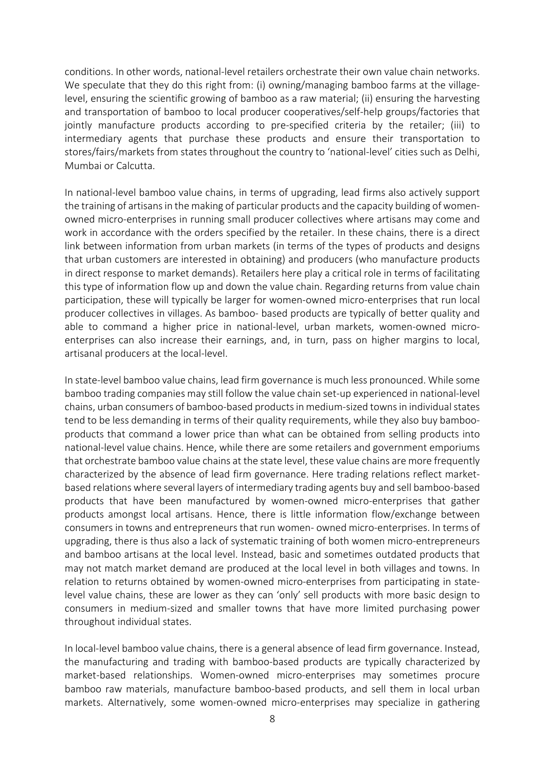conditions. In other words, national-level retailers orchestrate their own value chain networks. We speculate that they do this right from: (i) owning/managing bamboo farms at the villagelevel, ensuring the scientific growing of bamboo as a raw material; (ii) ensuring the harvesting and transportation of bamboo to local producer cooperatives/self-help groups/factories that jointly manufacture products according to pre-specified criteria by the retailer; (iii) to intermediary agents that purchase these products and ensure their transportation to stores/fairs/markets from states throughout the country to 'national-level' cities such as Delhi, Mumbai or Calcutta.

In national-level bamboo value chains, in terms of upgrading, lead firms also actively support the training of artisans in the making of particular products and the capacity building of womenowned micro-enterprises in running small producer collectives where artisans may come and work in accordance with the orders specified by the retailer. In these chains, there is a direct link between information from urban markets (in terms of the types of products and designs that urban customers are interested in obtaining) and producers (who manufacture products in direct response to market demands). Retailers here play a critical role in terms of facilitating this type of information flow up and down the value chain. Regarding returns from value chain participation, these will typically be larger for women-owned micro-enterprises that run local producer collectives in villages. As bamboo- based products are typically of better quality and able to command a higher price in national-level, urban markets, women-owned microenterprises can also increase their earnings, and, in turn, pass on higher margins to local, artisanal producers at the local-level.

In state-level bamboo value chains, lead firm governance is much less pronounced. While some bamboo trading companies may still follow the value chain set-up experienced in national-level chains, urban consumers of bamboo-based products in medium-sized towns in individual states tend to be less demanding in terms of their quality requirements, while they also buy bambooproducts that command a lower price than what can be obtained from selling products into national-level value chains. Hence, while there are some retailers and government emporiums that orchestrate bamboo value chains at the state level, these value chains are more frequently characterized by the absence of lead firm governance. Here trading relations reflect marketbased relations where several layers of intermediary trading agents buy and sell bamboo-based products that have been manufactured by women-owned micro-enterprises that gather products amongst local artisans. Hence, there is little information flow/exchange between consumers in towns and entrepreneurs that run women- owned micro-enterprises. In terms of upgrading, there is thus also a lack of systematic training of both women micro-entrepreneurs and bamboo artisans at the local level. Instead, basic and sometimes outdated products that may not match market demand are produced at the local level in both villages and towns. In relation to returns obtained by women-owned micro-enterprises from participating in statelevel value chains, these are lower as they can 'only' sell products with more basic design to consumers in medium-sized and smaller towns that have more limited purchasing power throughout individual states.

In local-level bamboo value chains, there is a general absence of lead firm governance. Instead, the manufacturing and trading with bamboo-based products are typically characterized by market-based relationships. Women-owned micro-enterprises may sometimes procure bamboo raw materials, manufacture bamboo-based products, and sell them in local urban markets. Alternatively, some women-owned micro-enterprises may specialize in gathering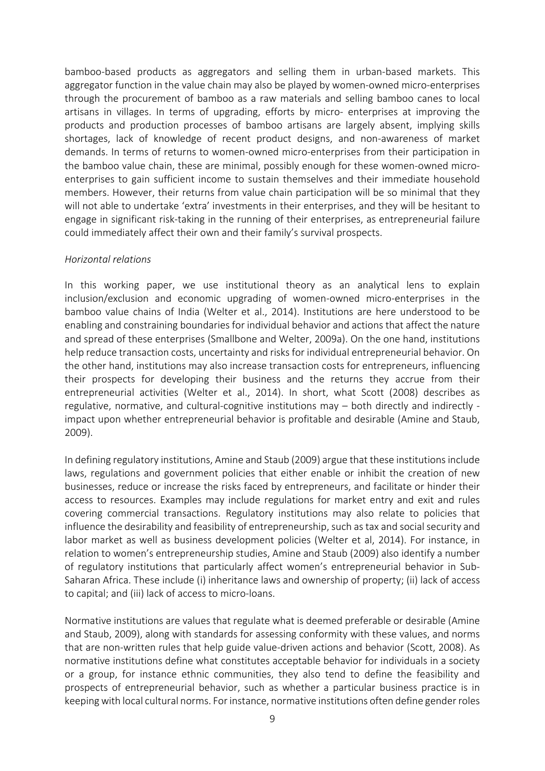bamboo-based products as aggregators and selling them in urban-based markets. This aggregator function in the value chain may also be played by women-owned micro-enterprises through the procurement of bamboo as a raw materials and selling bamboo canes to local artisans in villages. In terms of upgrading, efforts by micro- enterprises at improving the products and production processes of bamboo artisans are largely absent, implying skills shortages, lack of knowledge of recent product designs, and non-awareness of market demands. In terms of returns to women-owned micro-enterprises from their participation in the bamboo value chain, these are minimal, possibly enough for these women-owned microenterprises to gain sufficient income to sustain themselves and their immediate household members. However, their returns from value chain participation will be so minimal that they will not able to undertake 'extra' investments in their enterprises, and they will be hesitant to engage in significant risk-taking in the running of their enterprises, as entrepreneurial failure could immediately affect their own and their family's survival prospects.

#### *Horizontal relations*

In this working paper, we use institutional theory as an analytical lens to explain inclusion/exclusion and economic upgrading of women-owned micro-enterprises in the bamboo value chains of India (Welter et al., 2014). Institutions are here understood to be enabling and constraining boundaries for individual behavior and actions that affect the nature and spread of these enterprises (Smallbone and Welter, 2009a). On the one hand, institutions help reduce transaction costs, uncertainty and risks for individual entrepreneurial behavior. On the other hand, institutions may also increase transaction costs for entrepreneurs, influencing their prospects for developing their business and the returns they accrue from their entrepreneurial activities (Welter et al., 2014). In short, what Scott (2008) describes as regulative, normative, and cultural-cognitive institutions may – both directly and indirectly impact upon whether entrepreneurial behavior is profitable and desirable (Amine and Staub, 2009).

In defining regulatory institutions, Amine and Staub (2009) argue that these institutions include laws, regulations and government policies that either enable or inhibit the creation of new businesses, reduce or increase the risks faced by entrepreneurs, and facilitate or hinder their access to resources. Examples may include regulations for market entry and exit and rules covering commercial transactions. Regulatory institutions may also relate to policies that influence the desirability and feasibility of entrepreneurship, such as tax and social security and labor market as well as business development policies (Welter et al, 2014). For instance, in relation to women's entrepreneurship studies, Amine and Staub (2009) also identify a number of regulatory institutions that particularly affect women's entrepreneurial behavior in Sub-Saharan Africa. These include (i) inheritance laws and ownership of property; (ii) lack of access to capital; and (iii) lack of access to micro-loans.

Normative institutions are values that regulate what is deemed preferable or desirable (Amine and Staub, 2009), along with standards for assessing conformity with these values, and norms that are non-written rules that help guide value-driven actions and behavior (Scott, 2008). As normative institutions define what constitutes acceptable behavior for individuals in a society or a group, for instance ethnic communities, they also tend to define the feasibility and prospects of entrepreneurial behavior, such as whether a particular business practice is in keeping with local cultural norms. For instance, normative institutions often define gender roles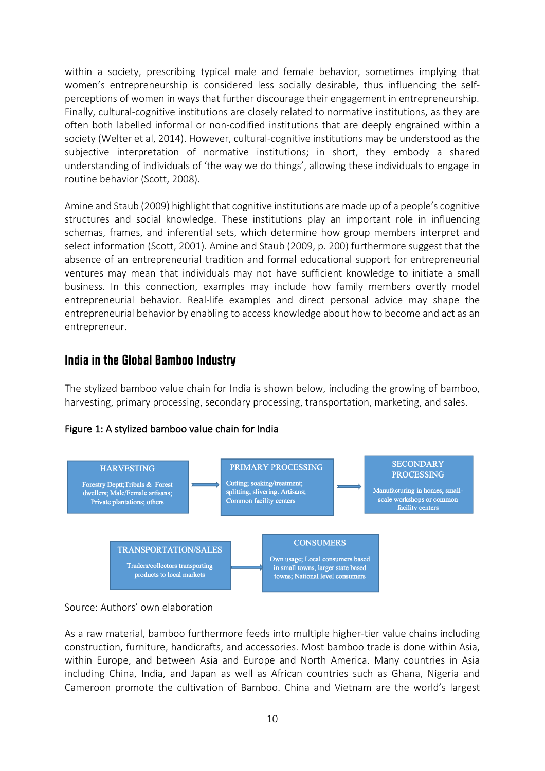within a society, prescribing typical male and female behavior, sometimes implying that women's entrepreneurship is considered less socially desirable, thus influencing the selfperceptions of women in ways that further discourage their engagement in entrepreneurship. Finally, cultural-cognitive institutions are closely related to normative institutions, as they are often both labelled informal or non-codified institutions that are deeply engrained within a society (Welter et al, 2014). However, cultural-cognitive institutions may be understood as the subjective interpretation of normative institutions; in short, they embody a shared understanding of individuals of 'the way we do things', allowing these individuals to engage in routine behavior (Scott, 2008).

Amine and Staub (2009) highlight that cognitive institutions are made up of a people's cognitive structures and social knowledge. These institutions play an important role in influencing schemas, frames, and inferential sets, which determine how group members interpret and select information (Scott, 2001). Amine and Staub (2009, p. 200) furthermore suggest that the absence of an entrepreneurial tradition and formal educational support for entrepreneurial ventures may mean that individuals may not have sufficient knowledge to initiate a small business. In this connection, examples may include how family members overtly model entrepreneurial behavior. Real-life examples and direct personal advice may shape the entrepreneurial behavior by enabling to access knowledge about how to become and act as an entrepreneur.

#### **India in the Global Bamboo Industry**

The stylized bamboo value chain for India is shown below, including the growing of bamboo, harvesting, primary processing, secondary processing, transportation, marketing, and sales.





Source: Authors' own elaboration

As a raw material, bamboo furthermore feeds into multiple higher-tier value chains including construction, furniture, handicrafts, and accessories. Most bamboo trade is done within Asia, within Europe, and between Asia and Europe and North America. Many countries in Asia including China, India, and Japan as well as African countries such as Ghana, Nigeria and Cameroon promote the cultivation of Bamboo. China and Vietnam are the world's largest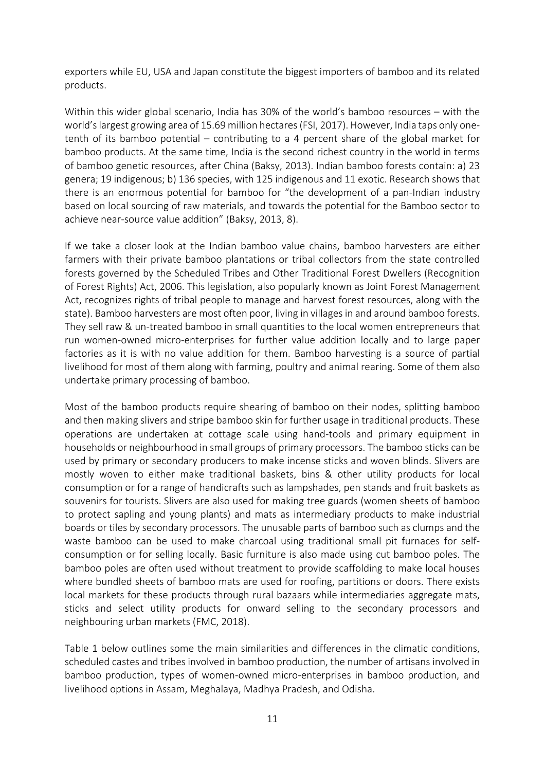exporters while EU, USA and Japan constitute the biggest importers of bamboo and its related products.

Within this wider global scenario, India has 30% of the world's bamboo resources – with the world's largest growing area of 15.69 million hectares (FSI, 2017). However, India taps only onetenth of its bamboo potential – contributing to a 4 percent share of the global market for bamboo products. At the same time, India is the second richest country in the world in terms of bamboo genetic resources, after China (Baksy, 2013). Indian bamboo forests contain: a) 23 genera; 19 indigenous; b) 136 species, with 125 indigenous and 11 exotic. Research shows that there is an enormous potential for bamboo for "the development of a pan-Indian industry based on local sourcing of raw materials, and towards the potential for the Bamboo sector to achieve near-source value addition" (Baksy, 2013, 8).

If we take a closer look at the Indian bamboo value chains, bamboo harvesters are either farmers with their private bamboo plantations or tribal collectors from the state controlled forests governed by the Scheduled Tribes and Other Traditional Forest Dwellers (Recognition of Forest Rights) Act, 2006. This legislation, also popularly known as Joint Forest Management Act, recognizes rights of tribal people to manage and harvest forest resources, along with the state). Bamboo harvesters are most often poor, living in villages in and around bamboo forests. They sell raw & un-treated bamboo in small quantities to the local women entrepreneurs that run women-owned micro-enterprises for further value addition locally and to large paper factories as it is with no value addition for them. Bamboo harvesting is a source of partial livelihood for most of them along with farming, poultry and animal rearing. Some of them also undertake primary processing of bamboo.

Most of the bamboo products require shearing of bamboo on their nodes, splitting bamboo and then making slivers and stripe bamboo skin for further usage in traditional products. These operations are undertaken at cottage scale using hand-tools and primary equipment in households or neighbourhood in small groups of primary processors. The bamboo sticks can be used by primary or secondary producers to make incense sticks and woven blinds. Slivers are mostly woven to either make traditional baskets, bins & other utility products for local consumption or for a range of handicrafts such as lampshades, pen stands and fruit baskets as souvenirs for tourists. Slivers are also used for making tree guards (women sheets of bamboo to protect sapling and young plants) and mats as intermediary products to make industrial boards or tiles by secondary processors. The unusable parts of bamboo such as clumps and the waste bamboo can be used to make charcoal using traditional small pit furnaces for selfconsumption or for selling locally. Basic furniture is also made using cut bamboo poles. The bamboo poles are often used without treatment to provide scaffolding to make local houses where bundled sheets of bamboo mats are used for roofing, partitions or doors. There exists local markets for these products through rural bazaars while intermediaries aggregate mats, sticks and select utility products for onward selling to the secondary processors and neighbouring urban markets (FMC, 2018).

Table 1 below outlines some the main similarities and differences in the climatic conditions, scheduled castes and tribes involved in bamboo production, the number of artisans involved in bamboo production, types of women-owned micro-enterprises in bamboo production, and livelihood options in Assam, Meghalaya, Madhya Pradesh, and Odisha.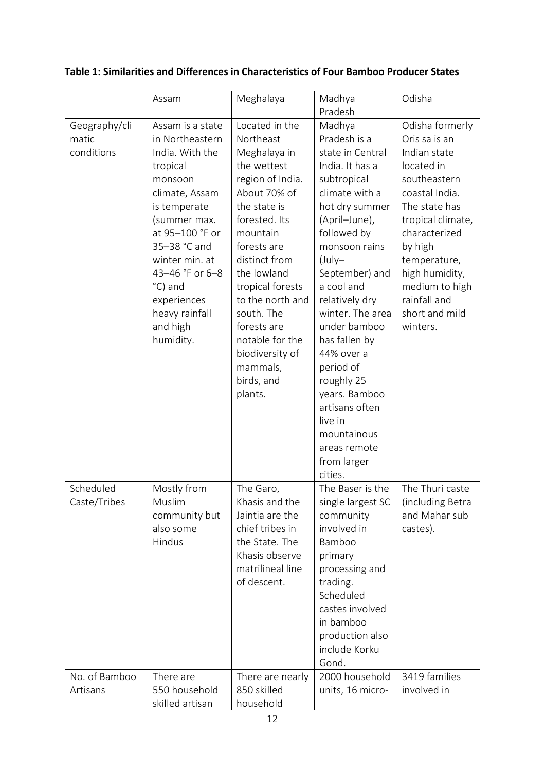#### Assam | Meghalaya | Madhya Pradesh Odisha Geography/cli matic conditions Assam is a state in Northeastern India. With the tropical monsoon climate, Assam is temperate (summer max. at 95–100 °F or 35–38 °C and winter min. at 43–46 °F or 6–8 °C) and experiences heavy rainfall and high humidity. Located in the Northeast Meghalaya in the wettest region of India. About 70% of the state is forested. Its mountain forests are distinct from the lowland tropical forests to the north and south. The forests are notable for the biodiversity of mammals, birds, and plants. Madhya Pradesh is a state in Central India. It has a subtropical climate with a hot dry summer (April–June), followed by monsoon rains (July– September) and a cool and relatively dry winter. The area under bamboo has fallen by 44% over a period of roughly 25 years. Bamboo artisans often live in mountainous areas remote from larger cities. Odisha formerly Oris sa is an Indian state located in southeastern coastal India. The state has tropical climate, characterized by high temperature, high humidity, medium to high rainfall and short and mild winters. Scheduled Caste/Tribes Mostly from Muslim community but also some Hindus The Garo, Khasis and the Jaintia are the chief tribes in the State. The Khasis observe matrilineal line of descent. The Baser is the single largest SC community involved in Bamboo primary processing and trading. **Scheduled** castes involved in bamboo production also include Korku Gond. The Thuri caste (including Betra and Mahar sub castes). No. of Bamboo Artisans There are 550 household There are nearly 850 skilled 2000 household units, 16 micro-3419 families involved in

#### **Table 1: Similarities and Differences in Characteristics of Four Bamboo Producer States**

household

skilled artisan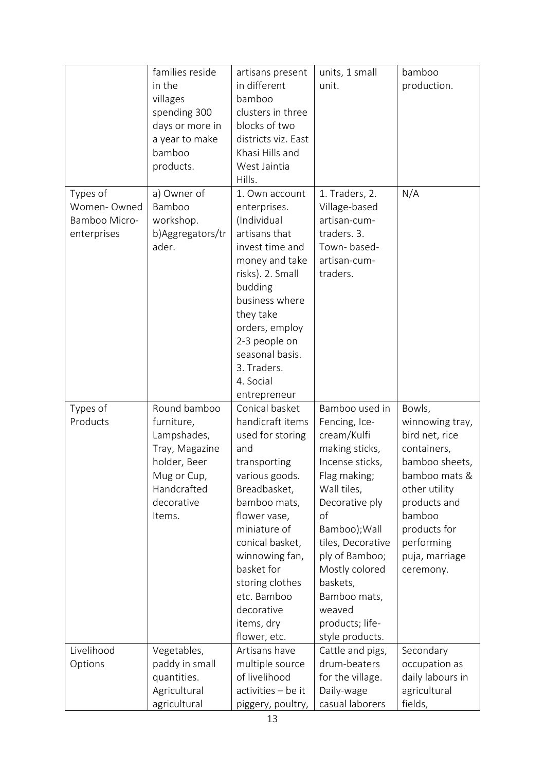|                                                         | families reside<br>in the<br>villages<br>spending 300<br>days or more in<br>a year to make<br>bamboo<br>products.                 | artisans present<br>in different<br>bamboo<br>clusters in three<br>blocks of two<br>districts viz. East<br>Khasi Hills and<br>West Jaintia<br>Hills.                                                                                                                                             | units, 1 small<br>unit.                                                                                                                                                                                                                                                                          | bamboo<br>production.                                                                                                                                                                                 |
|---------------------------------------------------------|-----------------------------------------------------------------------------------------------------------------------------------|--------------------------------------------------------------------------------------------------------------------------------------------------------------------------------------------------------------------------------------------------------------------------------------------------|--------------------------------------------------------------------------------------------------------------------------------------------------------------------------------------------------------------------------------------------------------------------------------------------------|-------------------------------------------------------------------------------------------------------------------------------------------------------------------------------------------------------|
| Types of<br>Women-Owned<br>Bamboo Micro-<br>enterprises | a) Owner of<br>Bamboo<br>workshop.<br>b) Aggregators/tr<br>ader.                                                                  | 1. Own account<br>enterprises.<br>(Individual<br>artisans that<br>invest time and<br>money and take<br>risks). 2. Small<br>budding<br>business where<br>they take<br>orders, employ<br>2-3 people on<br>seasonal basis.<br>3. Traders.<br>4. Social<br>entrepreneur                              | 1. Traders, 2.<br>Village-based<br>artisan-cum-<br>traders. 3.<br>Town-based-<br>artisan-cum-<br>traders.                                                                                                                                                                                        | N/A                                                                                                                                                                                                   |
| Types of<br>Products                                    | Round bamboo<br>furniture,<br>Lampshades,<br>Tray, Magazine<br>holder, Beer<br>Mug or Cup,<br>Handcrafted<br>decorative<br>Items. | Conical basket<br>handicraft items<br>used for storing<br>and<br>transporting<br>various goods.<br>Breadbasket,<br>bamboo mats,<br>flower vase,<br>miniature of<br>conical basket,<br>winnowing fan,<br>basket for<br>storing clothes<br>etc. Bamboo<br>decorative<br>items, dry<br>flower, etc. | Bamboo used in<br>Fencing, Ice-<br>cream/Kulfi<br>making sticks,<br>Incense sticks,<br>Flag making;<br>Wall tiles,<br>Decorative ply<br>οf<br>Bamboo); Wall<br>tiles, Decorative<br>ply of Bamboo;<br>Mostly colored<br>baskets,<br>Bamboo mats,<br>weaved<br>products; life-<br>style products. | Bowls,<br>winnowing tray,<br>bird net, rice<br>containers,<br>bamboo sheets,<br>bamboo mats &<br>other utility<br>products and<br>bamboo<br>products for<br>performing<br>puja, marriage<br>ceremony. |
| Livelihood<br>Options                                   | Vegetables,<br>paddy in small<br>quantities.<br>Agricultural<br>agricultural                                                      | Artisans have<br>multiple source<br>of livelihood<br>activities - be it<br>piggery, poultry,                                                                                                                                                                                                     | Cattle and pigs,<br>drum-beaters<br>for the village.<br>Daily-wage<br>casual laborers                                                                                                                                                                                                            | Secondary<br>occupation as<br>daily labours in<br>agricultural<br>fields,                                                                                                                             |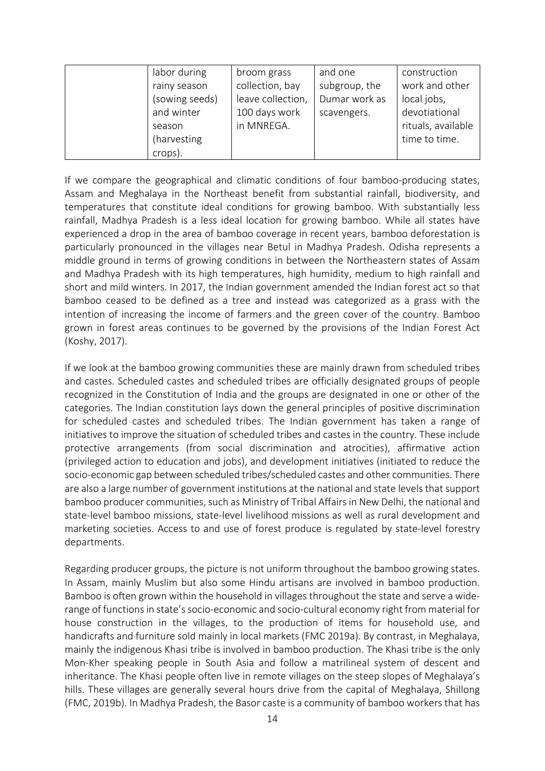| labor during   | broom grass       | and one       | construction       |
|----------------|-------------------|---------------|--------------------|
| rainy season   | collection, bay   | subgroup, the | work and other     |
| (sowing seeds) | leave collection, | Dumar work as | local jobs,        |
| and winter     | 100 days work     | scavengers.   | devotiational      |
| season         | in MNREGA.        |               | rituals, available |
| (harvesting    |                   |               | time to time.      |
| crops).        |                   |               |                    |

If we compare the geographical and climatic conditions of four bamboo-producing states, Assam and Meghalaya in the Northeast benefit from substantial rainfall, biodiversity, and temperatures that constitute ideal conditions for growing bamboo. With substantially less rainfall, Madhya Pradesh is a less ideal location for growing bamboo. While all states have experienced a drop in the area of bamboo coverage in recent years, bamboo deforestation is particularly pronounced in the villages near Betul in Madhya Pradesh. Odisha represents a middle ground in terms of growing conditions in between the Northeastern states of Assam and Madhya Pradesh with its high temperatures, high humidity, medium to high rainfall and short and mild winters. In 2017, the Indian government amended the Indian forest act so that bamboo ceased to be defined as a tree and instead was categorized as a grass with the intention of increasing the income of farmers and the green cover of the country. Bamboo grown in forest areas continues to be governed by the provisions of the Indian Forest Act (Koshy, 2017).

If we look at the bamboo growing communities these are mainly drawn from scheduled tribes and castes. Scheduled castes and scheduled tribes are officially designated groups of people recognized in the Constitution of India and the groups are designated in one or other of the categories. The Indian constitution lays down the general principles of positive discrimination for scheduled castes and scheduled tribes. The Indian government has taken a range of initiatives to improve the situation of scheduled tribes and castes in the country. These include protective arrangements (from social discrimination and atrocities), affirmative action (privileged action to education and jobs), and development initiatives (initiated to reduce the socio-economic gap between scheduled tribes/scheduled castes and other communities. There are also a large number of government institutions at the national and state levels that support bamboo producer communities, such as Ministry of Tribal Affairs in New Delhi, the national and state-level bamboo missions, state-level livelihood missions as well as rural development and marketing societies. Access to and use of forest produce is regulated by state-level forestry departments.

Regarding producer groups, the picture is not uniform throughout the bamboo growing states. In Assam, mainly Muslim but also some Hindu artisans are involved in bamboo production. Bamboo is often grown within the household in villages throughout the state and serve a widerange of functions in state's socio-economic and socio-cultural economy right from material for house construction in the villages, to the production of items for household use, and handicrafts and furniture sold mainly in local markets (FMC 2019a). By contrast, in Meghalaya, mainly the indigenous Khasi tribe is involved in bamboo production. The Khasi tribe is the only Mon-Kher speaking people in South Asia and follow a matrilineal system of descent and inheritance. The Khasi people often live in remote villages on the steep slopes of Meghalaya's hills. These villages are generally several hours drive from the capital of Meghalaya, Shillong (FMC, 2019b). In Madhya Pradesh, the Basor caste is a community of bamboo workers that has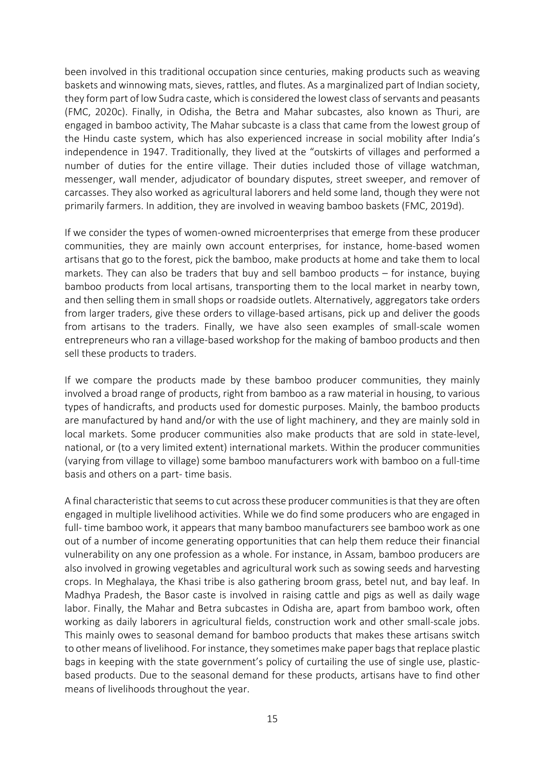been involved in this traditional occupation since centuries, making products such as weaving baskets and winnowing mats, sieves, rattles, and flutes. As a marginalized part of Indian society, they form part of low Sudra caste, which is considered the lowest class of servants and peasants (FMC, 2020c). Finally, in Odisha, the Betra and Mahar subcastes, also known as Thuri, are engaged in bamboo activity, The Mahar subcaste is a class that came from the lowest group of the Hindu caste system, which has also experienced increase in social mobility after India's independence in 1947. Traditionally, they lived at the "outskirts of villages and performed a number of duties for the entire village. Their duties included those of village watchman, messenger, wall mender, adjudicator of boundary disputes, street sweeper, and remover of carcasses. They also worked as agricultural laborers and held some land, though they were not primarily farmers. In addition, they are involved in weaving bamboo baskets (FMC, 2019d).

If we consider the types of women-owned microenterprises that emerge from these producer communities, they are mainly own account enterprises, for instance, home-based women artisans that go to the forest, pick the bamboo, make products at home and take them to local markets. They can also be traders that buy and sell bamboo products – for instance, buying bamboo products from local artisans, transporting them to the local market in nearby town, and then selling them in small shops or roadside outlets. Alternatively, aggregators take orders from larger traders, give these orders to village-based artisans, pick up and deliver the goods from artisans to the traders. Finally, we have also seen examples of small-scale women entrepreneurs who ran a village-based workshop for the making of bamboo products and then sell these products to traders.

If we compare the products made by these bamboo producer communities, they mainly involved a broad range of products, right from bamboo as a raw material in housing, to various types of handicrafts, and products used for domestic purposes. Mainly, the bamboo products are manufactured by hand and/or with the use of light machinery, and they are mainly sold in local markets. Some producer communities also make products that are sold in state-level, national, or (to a very limited extent) international markets. Within the producer communities (varying from village to village) some bamboo manufacturers work with bamboo on a full-time basis and others on a part- time basis.

A final characteristic that seems to cut across these producer communities is that they are often engaged in multiple livelihood activities. While we do find some producers who are engaged in full- time bamboo work, it appears that many bamboo manufacturers see bamboo work as one out of a number of income generating opportunities that can help them reduce their financial vulnerability on any one profession as a whole. For instance, in Assam, bamboo producers are also involved in growing vegetables and agricultural work such as sowing seeds and harvesting crops. In Meghalaya, the Khasi tribe is also gathering broom grass, betel nut, and bay leaf. In Madhya Pradesh, the Basor caste is involved in raising cattle and pigs as well as daily wage labor. Finally, the Mahar and Betra subcastes in Odisha are, apart from bamboo work, often working as daily laborers in agricultural fields, construction work and other small-scale jobs. This mainly owes to seasonal demand for bamboo products that makes these artisans switch to other means of livelihood. For instance, they sometimes make paper bags that replace plastic bags in keeping with the state government's policy of curtailing the use of single use, plasticbased products. Due to the seasonal demand for these products, artisans have to find other means of livelihoods throughout the year.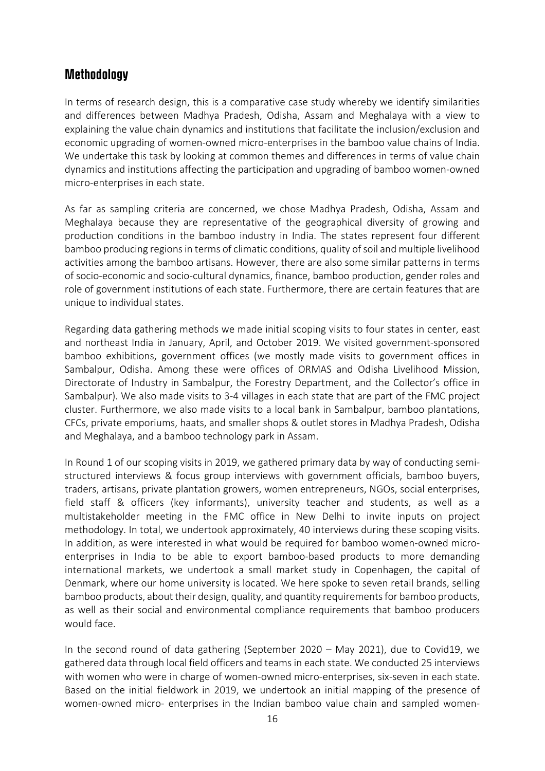#### **Methodology**

In terms of research design, this is a comparative case study whereby we identify similarities and differences between Madhya Pradesh, Odisha, Assam and Meghalaya with a view to explaining the value chain dynamics and institutions that facilitate the inclusion/exclusion and economic upgrading of women-owned micro-enterprises in the bamboo value chains of India. We undertake this task by looking at common themes and differences in terms of value chain dynamics and institutions affecting the participation and upgrading of bamboo women-owned micro-enterprises in each state.

As far as sampling criteria are concerned, we chose Madhya Pradesh, Odisha, Assam and Meghalaya because they are representative of the geographical diversity of growing and production conditions in the bamboo industry in India. The states represent four different bamboo producing regions in terms of climatic conditions, quality of soil and multiple livelihood activities among the bamboo artisans. However, there are also some similar patterns in terms of socio-economic and socio-cultural dynamics, finance, bamboo production, gender roles and role of government institutions of each state. Furthermore, there are certain features that are unique to individual states.

Regarding data gathering methods we made initial scoping visits to four states in center, east and northeast India in January, April, and October 2019. We visited government-sponsored bamboo exhibitions, government offices (we mostly made visits to government offices in Sambalpur, Odisha. Among these were offices of ORMAS and Odisha Livelihood Mission, Directorate of Industry in Sambalpur, the Forestry Department, and the Collector's office in Sambalpur). We also made visits to 3-4 villages in each state that are part of the FMC project cluster. Furthermore, we also made visits to a local bank in Sambalpur, bamboo plantations, CFCs, private emporiums, haats, and smaller shops & outlet stores in Madhya Pradesh, Odisha and Meghalaya, and a bamboo technology park in Assam.

In Round 1 of our scoping visits in 2019, we gathered primary data by way of conducting semistructured interviews & focus group interviews with government officials, bamboo buyers, traders, artisans, private plantation growers, women entrepreneurs, NGOs, social enterprises, field staff & officers (key informants), university teacher and students, as well as a multistakeholder meeting in the FMC office in New Delhi to invite inputs on project methodology. In total, we undertook approximately, 40 interviews during these scoping visits. In addition, as were interested in what would be required for bamboo women-owned microenterprises in India to be able to export bamboo-based products to more demanding international markets, we undertook a small market study in Copenhagen, the capital of Denmark, where our home university is located. We here spoke to seven retail brands, selling bamboo products, about their design, quality, and quantity requirements for bamboo products, as well as their social and environmental compliance requirements that bamboo producers would face.

In the second round of data gathering (September 2020 – May 2021), due to Covid19, we gathered data through local field officers and teams in each state. We conducted 25 interviews with women who were in charge of women-owned micro-enterprises, six-seven in each state. Based on the initial fieldwork in 2019, we undertook an initial mapping of the presence of women-owned micro- enterprises in the Indian bamboo value chain and sampled women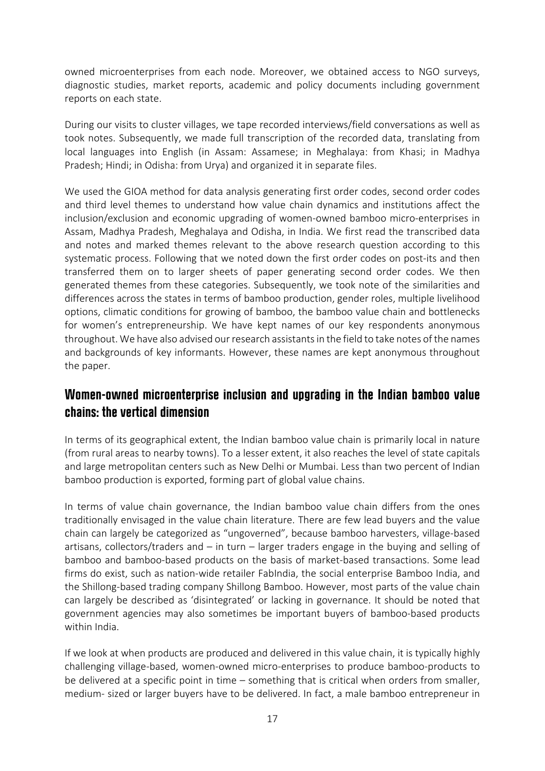owned microenterprises from each node. Moreover, we obtained access to NGO surveys, diagnostic studies, market reports, academic and policy documents including government reports on each state.

During our visits to cluster villages, we tape recorded interviews/field conversations as well as took notes. Subsequently, we made full transcription of the recorded data, translating from local languages into English (in Assam: Assamese; in Meghalaya: from Khasi; in Madhya Pradesh; Hindi; in Odisha: from Urya) and organized it in separate files.

We used the GIOA method for data analysis generating first order codes, second order codes and third level themes to understand how value chain dynamics and institutions affect the inclusion/exclusion and economic upgrading of women-owned bamboo micro-enterprises in Assam, Madhya Pradesh, Meghalaya and Odisha, in India. We first read the transcribed data and notes and marked themes relevant to the above research question according to this systematic process. Following that we noted down the first order codes on post-its and then transferred them on to larger sheets of paper generating second order codes. We then generated themes from these categories. Subsequently, we took note of the similarities and differences across the states in terms of bamboo production, gender roles, multiple livelihood options, climatic conditions for growing of bamboo, the bamboo value chain and bottlenecks for women's entrepreneurship. We have kept names of our key respondents anonymous throughout. We have also advised our research assistants in the field to take notes of the names and backgrounds of key informants. However, these names are kept anonymous throughout the paper.

#### **Women-owned microenterprise inclusion and upgrading in the Indian bamboo value chains: the vertical dimension**

In terms of its geographical extent, the Indian bamboo value chain is primarily local in nature (from rural areas to nearby towns). To a lesser extent, it also reaches the level of state capitals and large metropolitan centers such as New Delhi or Mumbai. Less than two percent of Indian bamboo production is exported, forming part of global value chains.

In terms of value chain governance, the Indian bamboo value chain differs from the ones traditionally envisaged in the value chain literature. There are few lead buyers and the value chain can largely be categorized as "ungoverned", because bamboo harvesters, village-based artisans, collectors/traders and – in turn – larger traders engage in the buying and selling of bamboo and bamboo-based products on the basis of market-based transactions. Some lead firms do exist, such as nation-wide retailer FabIndia, the social enterprise Bamboo India, and the Shillong-based trading company Shillong Bamboo. However, most parts of the value chain can largely be described as 'disintegrated' or lacking in governance. It should be noted that government agencies may also sometimes be important buyers of bamboo-based products within India.

If we look at when products are produced and delivered in this value chain, it is typically highly challenging village-based, women-owned micro-enterprises to produce bamboo-products to be delivered at a specific point in time – something that is critical when orders from smaller, medium- sized or larger buyers have to be delivered. In fact, a male bamboo entrepreneur in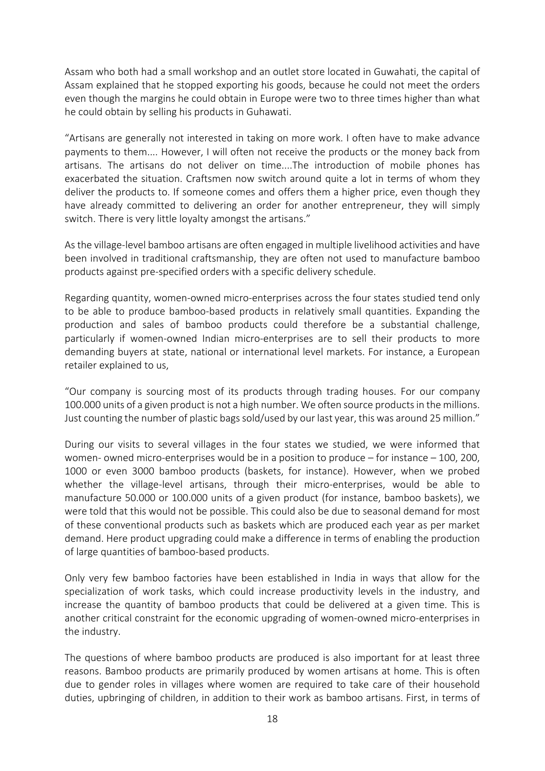Assam who both had a small workshop and an outlet store located in Guwahati, the capital of Assam explained that he stopped exporting his goods, because he could not meet the orders even though the margins he could obtain in Europe were two to three times higher than what he could obtain by selling his products in Guhawati.

"Artisans are generally not interested in taking on more work. I often have to make advance payments to them.... However, I will often not receive the products or the money back from artisans. The artisans do not deliver on time....The introduction of mobile phones has exacerbated the situation. Craftsmen now switch around quite a lot in terms of whom they deliver the products to. If someone comes and offers them a higher price, even though they have already committed to delivering an order for another entrepreneur, they will simply switch. There is very little loyalty amongst the artisans."

As the village-level bamboo artisans are often engaged in multiple livelihood activities and have been involved in traditional craftsmanship, they are often not used to manufacture bamboo products against pre-specified orders with a specific delivery schedule.

Regarding quantity, women-owned micro-enterprises across the four states studied tend only to be able to produce bamboo-based products in relatively small quantities. Expanding the production and sales of bamboo products could therefore be a substantial challenge, particularly if women-owned Indian micro-enterprises are to sell their products to more demanding buyers at state, national or international level markets. For instance, a European retailer explained to us,

"Our company is sourcing most of its products through trading houses. For our company 100.000 units of a given product is not a high number. We often source products in the millions. Just counting the number of plastic bags sold/used by our last year, this was around 25 million."

During our visits to several villages in the four states we studied, we were informed that women- owned micro-enterprises would be in a position to produce – for instance – 100, 200, 1000 or even 3000 bamboo products (baskets, for instance). However, when we probed whether the village-level artisans, through their micro-enterprises, would be able to manufacture 50.000 or 100.000 units of a given product (for instance, bamboo baskets), we were told that this would not be possible. This could also be due to seasonal demand for most of these conventional products such as baskets which are produced each year as per market demand. Here product upgrading could make a difference in terms of enabling the production of large quantities of bamboo-based products.

Only very few bamboo factories have been established in India in ways that allow for the specialization of work tasks, which could increase productivity levels in the industry, and increase the quantity of bamboo products that could be delivered at a given time. This is another critical constraint for the economic upgrading of women-owned micro-enterprises in the industry.

The questions of where bamboo products are produced is also important for at least three reasons. Bamboo products are primarily produced by women artisans at home. This is often due to gender roles in villages where women are required to take care of their household duties, upbringing of children, in addition to their work as bamboo artisans. First, in terms of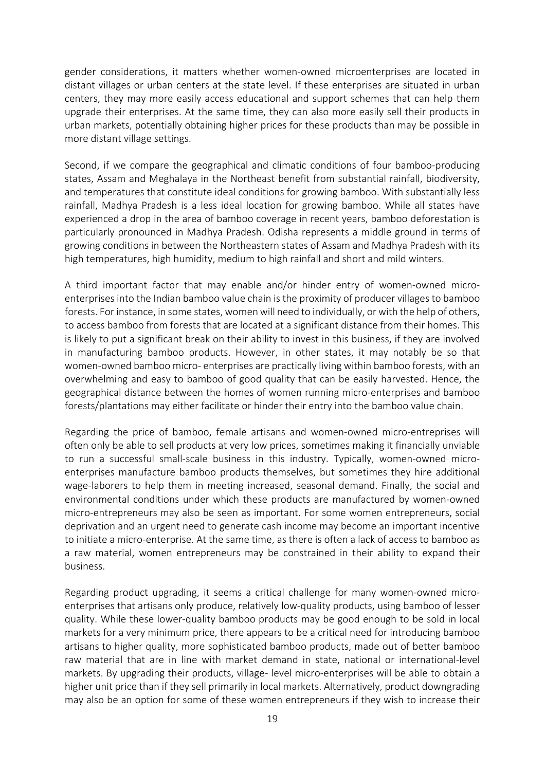gender considerations, it matters whether women-owned microenterprises are located in distant villages or urban centers at the state level. If these enterprises are situated in urban centers, they may more easily access educational and support schemes that can help them upgrade their enterprises. At the same time, they can also more easily sell their products in urban markets, potentially obtaining higher prices for these products than may be possible in more distant village settings.

Second, if we compare the geographical and climatic conditions of four bamboo-producing states, Assam and Meghalaya in the Northeast benefit from substantial rainfall, biodiversity, and temperatures that constitute ideal conditions for growing bamboo. With substantially less rainfall, Madhya Pradesh is a less ideal location for growing bamboo. While all states have experienced a drop in the area of bamboo coverage in recent years, bamboo deforestation is particularly pronounced in Madhya Pradesh. Odisha represents a middle ground in terms of growing conditions in between the Northeastern states of Assam and Madhya Pradesh with its high temperatures, high humidity, medium to high rainfall and short and mild winters.

A third important factor that may enable and/or hinder entry of women-owned microenterprises into the Indian bamboo value chain is the proximity of producer villages to bamboo forests. For instance, in some states, women will need to individually, or with the help of others, to access bamboo from forests that are located at a significant distance from their homes. This is likely to put a significant break on their ability to invest in this business, if they are involved in manufacturing bamboo products. However, in other states, it may notably be so that women-owned bamboo micro- enterprises are practically living within bamboo forests, with an overwhelming and easy to bamboo of good quality that can be easily harvested. Hence, the geographical distance between the homes of women running micro-enterprises and bamboo forests/plantations may either facilitate or hinder their entry into the bamboo value chain.

Regarding the price of bamboo, female artisans and women-owned micro-entreprises will often only be able to sell products at very low prices, sometimes making it financially unviable to run a successful small-scale business in this industry. Typically, women-owned microenterprises manufacture bamboo products themselves, but sometimes they hire additional wage-laborers to help them in meeting increased, seasonal demand. Finally, the social and environmental conditions under which these products are manufactured by women-owned micro-entrepreneurs may also be seen as important. For some women entrepreneurs, social deprivation and an urgent need to generate cash income may become an important incentive to initiate a micro-enterprise. At the same time, as there is often a lack of access to bamboo as a raw material, women entrepreneurs may be constrained in their ability to expand their business.

Regarding product upgrading, it seems a critical challenge for many women-owned microenterprises that artisans only produce, relatively low-quality products, using bamboo of lesser quality. While these lower-quality bamboo products may be good enough to be sold in local markets for a very minimum price, there appears to be a critical need for introducing bamboo artisans to higher quality, more sophisticated bamboo products, made out of better bamboo raw material that are in line with market demand in state, national or international-level markets. By upgrading their products, village- level micro-enterprises will be able to obtain a higher unit price than if they sell primarily in local markets. Alternatively, product downgrading may also be an option for some of these women entrepreneurs if they wish to increase their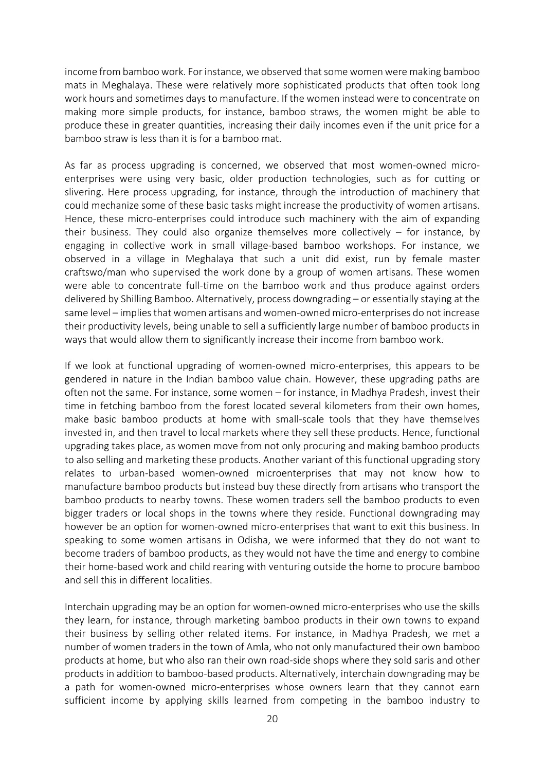income from bamboo work. For instance, we observed that some women were making bamboo mats in Meghalaya. These were relatively more sophisticated products that often took long work hours and sometimes days to manufacture. If the women instead were to concentrate on making more simple products, for instance, bamboo straws, the women might be able to produce these in greater quantities, increasing their daily incomes even if the unit price for a bamboo straw is less than it is for a bamboo mat.

As far as process upgrading is concerned, we observed that most women-owned microenterprises were using very basic, older production technologies, such as for cutting or slivering. Here process upgrading, for instance, through the introduction of machinery that could mechanize some of these basic tasks might increase the productivity of women artisans. Hence, these micro-enterprises could introduce such machinery with the aim of expanding their business. They could also organize themselves more collectively – for instance, by engaging in collective work in small village-based bamboo workshops. For instance, we observed in a village in Meghalaya that such a unit did exist, run by female master craftswo/man who supervised the work done by a group of women artisans. These women were able to concentrate full-time on the bamboo work and thus produce against orders delivered by Shilling Bamboo. Alternatively, process downgrading – or essentially staying at the same level – implies that women artisans and women-owned micro-enterprises do not increase their productivity levels, being unable to sell a sufficiently large number of bamboo products in ways that would allow them to significantly increase their income from bamboo work.

If we look at functional upgrading of women-owned micro-enterprises, this appears to be gendered in nature in the Indian bamboo value chain. However, these upgrading paths are often not the same. For instance, some women – for instance, in Madhya Pradesh, invest their time in fetching bamboo from the forest located several kilometers from their own homes, make basic bamboo products at home with small-scale tools that they have themselves invested in, and then travel to local markets where they sell these products. Hence, functional upgrading takes place, as women move from not only procuring and making bamboo products to also selling and marketing these products. Another variant of this functional upgrading story relates to urban-based women-owned microenterprises that may not know how to manufacture bamboo products but instead buy these directly from artisans who transport the bamboo products to nearby towns. These women traders sell the bamboo products to even bigger traders or local shops in the towns where they reside. Functional downgrading may however be an option for women-owned micro-enterprises that want to exit this business. In speaking to some women artisans in Odisha, we were informed that they do not want to become traders of bamboo products, as they would not have the time and energy to combine their home-based work and child rearing with venturing outside the home to procure bamboo and sell this in different localities.

Interchain upgrading may be an option for women-owned micro-enterprises who use the skills they learn, for instance, through marketing bamboo products in their own towns to expand their business by selling other related items. For instance, in Madhya Pradesh, we met a number of women traders in the town of Amla, who not only manufactured their own bamboo products at home, but who also ran their own road-side shops where they sold saris and other products in addition to bamboo-based products. Alternatively, interchain downgrading may be a path for women-owned micro-enterprises whose owners learn that they cannot earn sufficient income by applying skills learned from competing in the bamboo industry to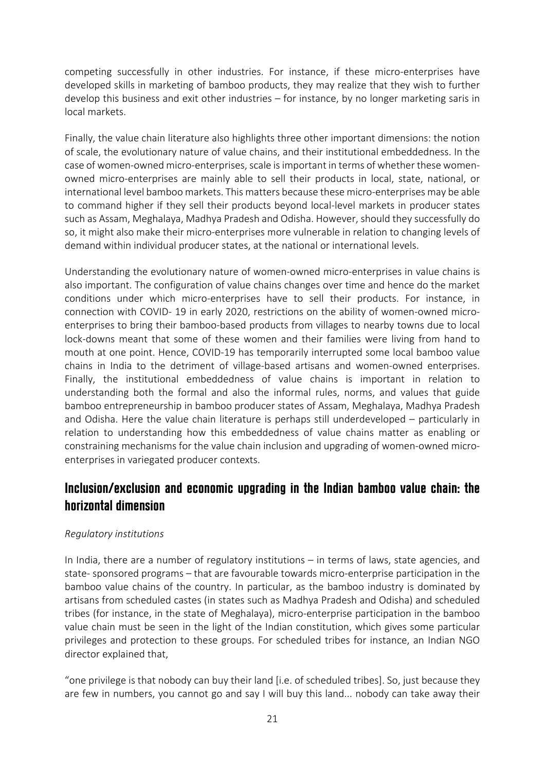competing successfully in other industries. For instance, if these micro-enterprises have developed skills in marketing of bamboo products, they may realize that they wish to further develop this business and exit other industries – for instance, by no longer marketing saris in local markets.

Finally, the value chain literature also highlights three other important dimensions: the notion of scale, the evolutionary nature of value chains, and their institutional embeddedness. In the case of women-owned micro-enterprises, scale is important in terms of whether these womenowned micro-enterprises are mainly able to sell their products in local, state, national, or international level bamboo markets. This matters because these micro-enterprises may be able to command higher if they sell their products beyond local-level markets in producer states such as Assam, Meghalaya, Madhya Pradesh and Odisha. However, should they successfully do so, it might also make their micro-enterprises more vulnerable in relation to changing levels of demand within individual producer states, at the national or international levels.

Understanding the evolutionary nature of women-owned micro-enterprises in value chains is also important. The configuration of value chains changes over time and hence do the market conditions under which micro-enterprises have to sell their products. For instance, in connection with COVID- 19 in early 2020, restrictions on the ability of women-owned microenterprises to bring their bamboo-based products from villages to nearby towns due to local lock-downs meant that some of these women and their families were living from hand to mouth at one point. Hence, COVID-19 has temporarily interrupted some local bamboo value chains in India to the detriment of village-based artisans and women-owned enterprises. Finally, the institutional embeddedness of value chains is important in relation to understanding both the formal and also the informal rules, norms, and values that guide bamboo entrepreneurship in bamboo producer states of Assam, Meghalaya, Madhya Pradesh and Odisha. Here the value chain literature is perhaps still underdeveloped – particularly in relation to understanding how this embeddedness of value chains matter as enabling or constraining mechanisms for the value chain inclusion and upgrading of women-owned microenterprises in variegated producer contexts.

### **Inclusion/exclusion and economic upgrading in the Indian bamboo value chain: the horizontal dimension**

#### *Regulatory institutions*

In India, there are a number of regulatory institutions – in terms of laws, state agencies, and state- sponsored programs – that are favourable towards micro-enterprise participation in the bamboo value chains of the country. In particular, as the bamboo industry is dominated by artisans from scheduled castes (in states such as Madhya Pradesh and Odisha) and scheduled tribes (for instance, in the state of Meghalaya), micro-enterprise participation in the bamboo value chain must be seen in the light of the Indian constitution, which gives some particular privileges and protection to these groups. For scheduled tribes for instance, an Indian NGO director explained that,

"one privilege is that nobody can buy their land [i.e. of scheduled tribes]. So, just because they are few in numbers, you cannot go and say I will buy this land... nobody can take away their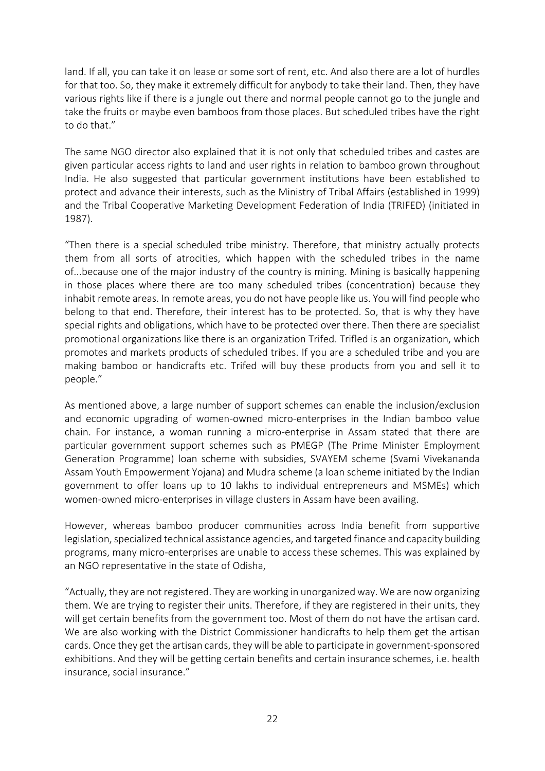land. If all, you can take it on lease or some sort of rent, etc. And also there are a lot of hurdles for that too. So, they make it extremely difficult for anybody to take their land. Then, they have various rights like if there is a jungle out there and normal people cannot go to the jungle and take the fruits or maybe even bamboos from those places. But scheduled tribes have the right to do that."

The same NGO director also explained that it is not only that scheduled tribes and castes are given particular access rights to land and user rights in relation to bamboo grown throughout India. He also suggested that particular government institutions have been established to protect and advance their interests, such as the Ministry of Tribal Affairs (established in 1999) and the Tribal Cooperative Marketing Development Federation of India (TRIFED) (initiated in 1987).

"Then there is a special scheduled tribe ministry. Therefore, that ministry actually protects them from all sorts of atrocities, which happen with the scheduled tribes in the name of...because one of the major industry of the country is mining. Mining is basically happening in those places where there are too many scheduled tribes (concentration) because they inhabit remote areas. In remote areas, you do not have people like us. You will find people who belong to that end. Therefore, their interest has to be protected. So, that is why they have special rights and obligations, which have to be protected over there. Then there are specialist promotional organizations like there is an organization Trifed. Trifled is an organization, which promotes and markets products of scheduled tribes. If you are a scheduled tribe and you are making bamboo or handicrafts etc. Trifed will buy these products from you and sell it to people."

As mentioned above, a large number of support schemes can enable the inclusion/exclusion and economic upgrading of women-owned micro-enterprises in the Indian bamboo value chain. For instance, a woman running a micro-enterprise in Assam stated that there are particular government support schemes such as PMEGP (The Prime Minister Employment Generation Programme) loan scheme with subsidies, SVAYEM scheme (Svami Vivekananda Assam Youth Empowerment Yojana) and Mudra scheme (a loan scheme initiated by the Indian government to offer loans up to 10 lakhs to individual entrepreneurs and MSMEs) which women-owned micro-enterprises in village clusters in Assam have been availing.

However, whereas bamboo producer communities across India benefit from supportive legislation, specialized technical assistance agencies, and targeted finance and capacity building programs, many micro-enterprises are unable to access these schemes. This was explained by an NGO representative in the state of Odisha,

"Actually, they are not registered. They are working in unorganized way. We are now organizing them. We are trying to register their units. Therefore, if they are registered in their units, they will get certain benefits from the government too. Most of them do not have the artisan card. We are also working with the District Commissioner handicrafts to help them get the artisan cards. Once they get the artisan cards, they will be able to participate in government-sponsored exhibitions. And they will be getting certain benefits and certain insurance schemes, i.e. health insurance, social insurance."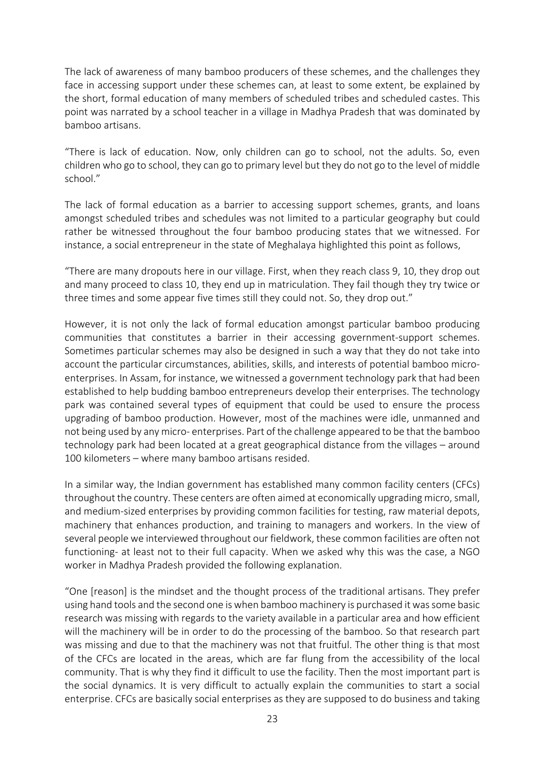The lack of awareness of many bamboo producers of these schemes, and the challenges they face in accessing support under these schemes can, at least to some extent, be explained by the short, formal education of many members of scheduled tribes and scheduled castes. This point was narrated by a school teacher in a village in Madhya Pradesh that was dominated by bamboo artisans.

"There is lack of education. Now, only children can go to school, not the adults. So, even children who go to school, they can go to primary level but they do not go to the level of middle school."

The lack of formal education as a barrier to accessing support schemes, grants, and loans amongst scheduled tribes and schedules was not limited to a particular geography but could rather be witnessed throughout the four bamboo producing states that we witnessed. For instance, a social entrepreneur in the state of Meghalaya highlighted this point as follows,

"There are many dropouts here in our village. First, when they reach class 9, 10, they drop out and many proceed to class 10, they end up in matriculation. They fail though they try twice or three times and some appear five times still they could not. So, they drop out."

However, it is not only the lack of formal education amongst particular bamboo producing communities that constitutes a barrier in their accessing government-support schemes. Sometimes particular schemes may also be designed in such a way that they do not take into account the particular circumstances, abilities, skills, and interests of potential bamboo microenterprises. In Assam, for instance, we witnessed a government technology park that had been established to help budding bamboo entrepreneurs develop their enterprises. The technology park was contained several types of equipment that could be used to ensure the process upgrading of bamboo production. However, most of the machines were idle, unmanned and not being used by any micro- enterprises. Part of the challenge appeared to be that the bamboo technology park had been located at a great geographical distance from the villages – around 100 kilometers – where many bamboo artisans resided.

In a similar way, the Indian government has established many common facility centers (CFCs) throughout the country. These centers are often aimed at economically upgrading micro, small, and medium-sized enterprises by providing common facilities for testing, raw material depots, machinery that enhances production, and training to managers and workers. In the view of several people we interviewed throughout our fieldwork, these common facilities are often not functioning- at least not to their full capacity. When we asked why this was the case, a NGO worker in Madhya Pradesh provided the following explanation.

"One [reason] is the mindset and the thought process of the traditional artisans. They prefer using hand tools and the second one is when bamboo machinery is purchased it was some basic research was missing with regards to the variety available in a particular area and how efficient will the machinery will be in order to do the processing of the bamboo. So that research part was missing and due to that the machinery was not that fruitful. The other thing is that most of the CFCs are located in the areas, which are far flung from the accessibility of the local community. That is why they find it difficult to use the facility. Then the most important part is the social dynamics. It is very difficult to actually explain the communities to start a social enterprise. CFCs are basically social enterprises as they are supposed to do business and taking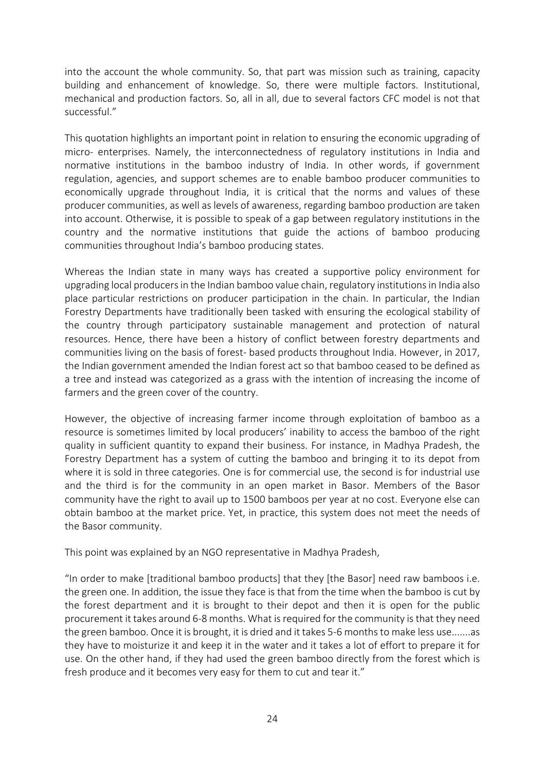into the account the whole community. So, that part was mission such as training, capacity building and enhancement of knowledge. So, there were multiple factors. Institutional, mechanical and production factors. So, all in all, due to several factors CFC model is not that successful."

This quotation highlights an important point in relation to ensuring the economic upgrading of micro- enterprises. Namely, the interconnectedness of regulatory institutions in India and normative institutions in the bamboo industry of India. In other words, if government regulation, agencies, and support schemes are to enable bamboo producer communities to economically upgrade throughout India, it is critical that the norms and values of these producer communities, as well as levels of awareness, regarding bamboo production are taken into account. Otherwise, it is possible to speak of a gap between regulatory institutions in the country and the normative institutions that guide the actions of bamboo producing communities throughout India's bamboo producing states.

Whereas the Indian state in many ways has created a supportive policy environment for upgrading local producers in the Indian bamboo value chain, regulatory institutions in India also place particular restrictions on producer participation in the chain. In particular, the Indian Forestry Departments have traditionally been tasked with ensuring the ecological stability of the country through participatory sustainable management and protection of natural resources. Hence, there have been a history of conflict between forestry departments and communities living on the basis of forest- based products throughout India. However, in 2017, the Indian government amended the Indian forest act so that bamboo ceased to be defined as a tree and instead was categorized as a grass with the intention of increasing the income of farmers and the green cover of the country.

However, the objective of increasing farmer income through exploitation of bamboo as a resource is sometimes limited by local producers' inability to access the bamboo of the right quality in sufficient quantity to expand their business. For instance, in Madhya Pradesh, the Forestry Department has a system of cutting the bamboo and bringing it to its depot from where it is sold in three categories. One is for commercial use, the second is for industrial use and the third is for the community in an open market in Basor. Members of the Basor community have the right to avail up to 1500 bamboos per year at no cost. Everyone else can obtain bamboo at the market price. Yet, in practice, this system does not meet the needs of the Basor community.

This point was explained by an NGO representative in Madhya Pradesh,

"In order to make [traditional bamboo products] that they [the Basor] need raw bamboos i.e. the green one. In addition, the issue they face is that from the time when the bamboo is cut by the forest department and it is brought to their depot and then it is open for the public procurement it takes around 6-8 months. What is required for the community is that they need the green bamboo. Once it is brought, it is dried and it takes 5-6 months to make less use.......as they have to moisturize it and keep it in the water and it takes a lot of effort to prepare it for use. On the other hand, if they had used the green bamboo directly from the forest which is fresh produce and it becomes very easy for them to cut and tear it."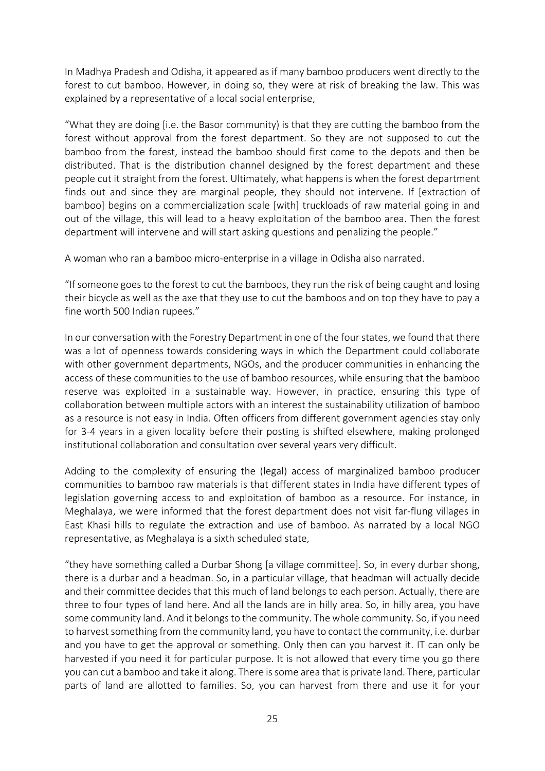In Madhya Pradesh and Odisha, it appeared as if many bamboo producers went directly to the forest to cut bamboo. However, in doing so, they were at risk of breaking the law. This was explained by a representative of a local social enterprise,

"What they are doing [i.e. the Basor community) is that they are cutting the bamboo from the forest without approval from the forest department. So they are not supposed to cut the bamboo from the forest, instead the bamboo should first come to the depots and then be distributed. That is the distribution channel designed by the forest department and these people cut it straight from the forest. Ultimately, what happens is when the forest department finds out and since they are marginal people, they should not intervene. If [extraction of bamboo] begins on a commercialization scale [with] truckloads of raw material going in and out of the village, this will lead to a heavy exploitation of the bamboo area. Then the forest department will intervene and will start asking questions and penalizing the people."

A woman who ran a bamboo micro-enterprise in a village in Odisha also narrated.

"If someone goes to the forest to cut the bamboos, they run the risk of being caught and losing their bicycle as well as the axe that they use to cut the bamboos and on top they have to pay a fine worth 500 Indian rupees."

In our conversation with the Forestry Department in one of the four states, we found that there was a lot of openness towards considering ways in which the Department could collaborate with other government departments, NGOs, and the producer communities in enhancing the access of these communities to the use of bamboo resources, while ensuring that the bamboo reserve was exploited in a sustainable way. However, in practice, ensuring this type of collaboration between multiple actors with an interest the sustainability utilization of bamboo as a resource is not easy in India. Often officers from different government agencies stay only for 3-4 years in a given locality before their posting is shifted elsewhere, making prolonged institutional collaboration and consultation over several years very difficult.

Adding to the complexity of ensuring the (legal) access of marginalized bamboo producer communities to bamboo raw materials is that different states in India have different types of legislation governing access to and exploitation of bamboo as a resource. For instance, in Meghalaya, we were informed that the forest department does not visit far-flung villages in East Khasi hills to regulate the extraction and use of bamboo. As narrated by a local NGO representative, as Meghalaya is a sixth scheduled state,

"they have something called a Durbar Shong [a village committee]. So, in every durbar shong, there is a durbar and a headman. So, in a particular village, that headman will actually decide and their committee decides that this much of land belongs to each person. Actually, there are three to four types of land here. And all the lands are in hilly area. So, in hilly area, you have some community land. And it belongs to the community. The whole community. So, if you need to harvest something from the community land, you have to contact the community, i.e. durbar and you have to get the approval or something. Only then can you harvest it. IT can only be harvested if you need it for particular purpose. It is not allowed that every time you go there you can cut a bamboo and take it along. There is some area that is private land. There, particular parts of land are allotted to families. So, you can harvest from there and use it for your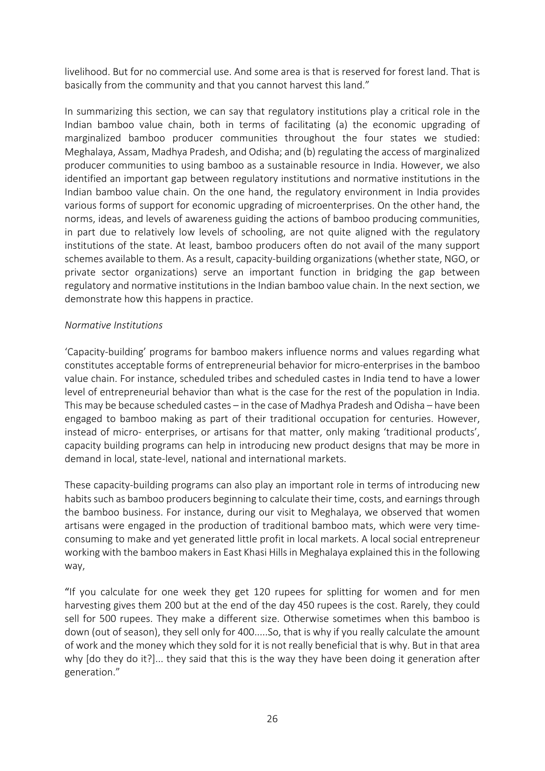livelihood. But for no commercial use. And some area is that is reserved for forest land. That is basically from the community and that you cannot harvest this land."

In summarizing this section, we can say that regulatory institutions play a critical role in the Indian bamboo value chain, both in terms of facilitating (a) the economic upgrading of marginalized bamboo producer communities throughout the four states we studied: Meghalaya, Assam, Madhya Pradesh, and Odisha; and (b) regulating the access of marginalized producer communities to using bamboo as a sustainable resource in India. However, we also identified an important gap between regulatory institutions and normative institutions in the Indian bamboo value chain. On the one hand, the regulatory environment in India provides various forms of support for economic upgrading of microenterprises. On the other hand, the norms, ideas, and levels of awareness guiding the actions of bamboo producing communities, in part due to relatively low levels of schooling, are not quite aligned with the regulatory institutions of the state. At least, bamboo producers often do not avail of the many support schemes available to them. As a result, capacity-building organizations (whether state, NGO, or private sector organizations) serve an important function in bridging the gap between regulatory and normative institutions in the Indian bamboo value chain. In the next section, we demonstrate how this happens in practice.

#### *Normative Institutions*

'Capacity-building' programs for bamboo makers influence norms and values regarding what constitutes acceptable forms of entrepreneurial behavior for micro-enterprises in the bamboo value chain. For instance, scheduled tribes and scheduled castes in India tend to have a lower level of entrepreneurial behavior than what is the case for the rest of the population in India. This may be because scheduled castes – in the case of Madhya Pradesh and Odisha – have been engaged to bamboo making as part of their traditional occupation for centuries. However, instead of micro- enterprises, or artisans for that matter, only making 'traditional products', capacity building programs can help in introducing new product designs that may be more in demand in local, state-level, national and international markets.

These capacity-building programs can also play an important role in terms of introducing new habits such as bamboo producers beginning to calculate their time, costs, and earnings through the bamboo business. For instance, during our visit to Meghalaya, we observed that women artisans were engaged in the production of traditional bamboo mats, which were very timeconsuming to make and yet generated little profit in local markets. A local social entrepreneur working with the bamboo makers in East Khasi Hills in Meghalaya explained this in the following way,

"If you calculate for one week they get 120 rupees for splitting for women and for men harvesting gives them 200 but at the end of the day 450 rupees is the cost. Rarely, they could sell for 500 rupees. They make a different size. Otherwise sometimes when this bamboo is down (out of season), they sell only for 400.....So, that is why if you really calculate the amount of work and the money which they sold for it is not really beneficial that is why. But in that area why [do they do it?]... they said that this is the way they have been doing it generation after generation."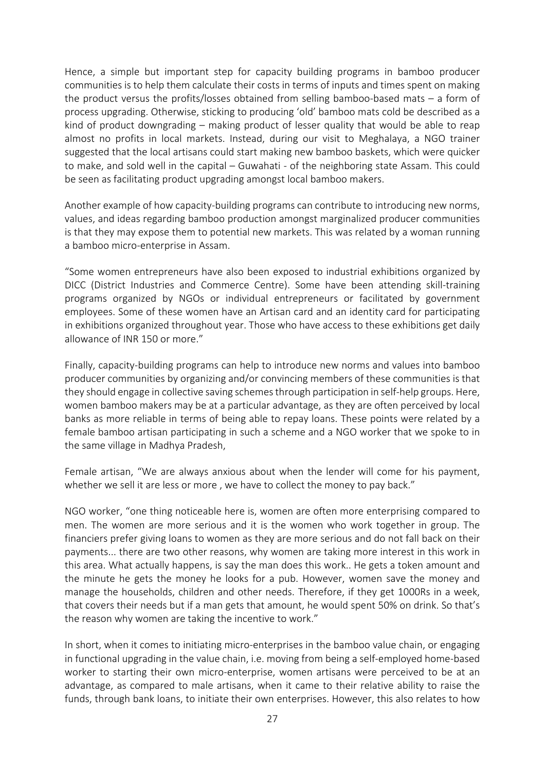Hence, a simple but important step for capacity building programs in bamboo producer communities is to help them calculate their costs in terms of inputs and times spent on making the product versus the profits/losses obtained from selling bamboo-based mats – a form of process upgrading. Otherwise, sticking to producing 'old' bamboo mats cold be described as a kind of product downgrading – making product of lesser quality that would be able to reap almost no profits in local markets. Instead, during our visit to Meghalaya, a NGO trainer suggested that the local artisans could start making new bamboo baskets, which were quicker to make, and sold well in the capital – Guwahati - of the neighboring state Assam. This could be seen as facilitating product upgrading amongst local bamboo makers.

Another example of how capacity-building programs can contribute to introducing new norms, values, and ideas regarding bamboo production amongst marginalized producer communities is that they may expose them to potential new markets. This was related by a woman running a bamboo micro-enterprise in Assam.

"Some women entrepreneurs have also been exposed to industrial exhibitions organized by DICC (District Industries and Commerce Centre). Some have been attending skill-training programs organized by NGOs or individual entrepreneurs or facilitated by government employees. Some of these women have an Artisan card and an identity card for participating in exhibitions organized throughout year. Those who have access to these exhibitions get daily allowance of INR 150 or more."

Finally, capacity-building programs can help to introduce new norms and values into bamboo producer communities by organizing and/or convincing members of these communities is that they should engage in collective saving schemes through participation in self-help groups. Here, women bamboo makers may be at a particular advantage, as they are often perceived by local banks as more reliable in terms of being able to repay loans. These points were related by a female bamboo artisan participating in such a scheme and a NGO worker that we spoke to in the same village in Madhya Pradesh,

Female artisan, "We are always anxious about when the lender will come for his payment, whether we sell it are less or more, we have to collect the money to pay back."

NGO worker, "one thing noticeable here is, women are often more enterprising compared to men. The women are more serious and it is the women who work together in group. The financiers prefer giving loans to women as they are more serious and do not fall back on their payments... there are two other reasons, why women are taking more interest in this work in this area. What actually happens, is say the man does this work.. He gets a token amount and the minute he gets the money he looks for a pub. However, women save the money and manage the households, children and other needs. Therefore, if they get 1000Rs in a week, that covers their needs but if a man gets that amount, he would spent 50% on drink. So that's the reason why women are taking the incentive to work."

In short, when it comes to initiating micro-enterprises in the bamboo value chain, or engaging in functional upgrading in the value chain, i.e. moving from being a self-employed home-based worker to starting their own micro-enterprise, women artisans were perceived to be at an advantage, as compared to male artisans, when it came to their relative ability to raise the funds, through bank loans, to initiate their own enterprises. However, this also relates to how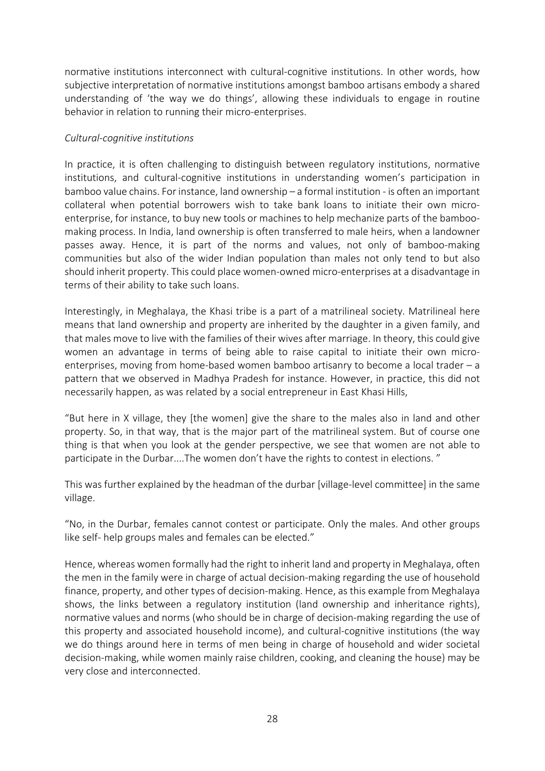normative institutions interconnect with cultural-cognitive institutions. In other words, how subjective interpretation of normative institutions amongst bamboo artisans embody a shared understanding of 'the way we do things', allowing these individuals to engage in routine behavior in relation to running their micro-enterprises.

#### *Cultural-cognitive institutions*

In practice, it is often challenging to distinguish between regulatory institutions, normative institutions, and cultural-cognitive institutions in understanding women's participation in bamboo value chains. For instance, land ownership – a formal institution - is often an important collateral when potential borrowers wish to take bank loans to initiate their own microenterprise, for instance, to buy new tools or machines to help mechanize parts of the bamboomaking process. In India, land ownership is often transferred to male heirs, when a landowner passes away. Hence, it is part of the norms and values, not only of bamboo-making communities but also of the wider Indian population than males not only tend to but also should inherit property. This could place women-owned micro-enterprises at a disadvantage in terms of their ability to take such loans.

Interestingly, in Meghalaya, the Khasi tribe is a part of a matrilineal society. Matrilineal here means that land ownership and property are inherited by the daughter in a given family, and that males move to live with the families of their wives after marriage. In theory, this could give women an advantage in terms of being able to raise capital to initiate their own microenterprises, moving from home-based women bamboo artisanry to become a local trader – a pattern that we observed in Madhya Pradesh for instance. However, in practice, this did not necessarily happen, as was related by a social entrepreneur in East Khasi Hills,

"But here in X village, they [the women] give the share to the males also in land and other property. So, in that way, that is the major part of the matrilineal system. But of course one thing is that when you look at the gender perspective, we see that women are not able to participate in the Durbar....The women don't have the rights to contest in elections. "

This was further explained by the headman of the durbar [village-level committee] in the same village.

"No, in the Durbar, females cannot contest or participate. Only the males. And other groups like self- help groups males and females can be elected."

Hence, whereas women formally had the right to inherit land and property in Meghalaya, often the men in the family were in charge of actual decision-making regarding the use of household finance, property, and other types of decision-making. Hence, as this example from Meghalaya shows, the links between a regulatory institution (land ownership and inheritance rights), normative values and norms (who should be in charge of decision-making regarding the use of this property and associated household income), and cultural-cognitive institutions (the way we do things around here in terms of men being in charge of household and wider societal decision-making, while women mainly raise children, cooking, and cleaning the house) may be very close and interconnected.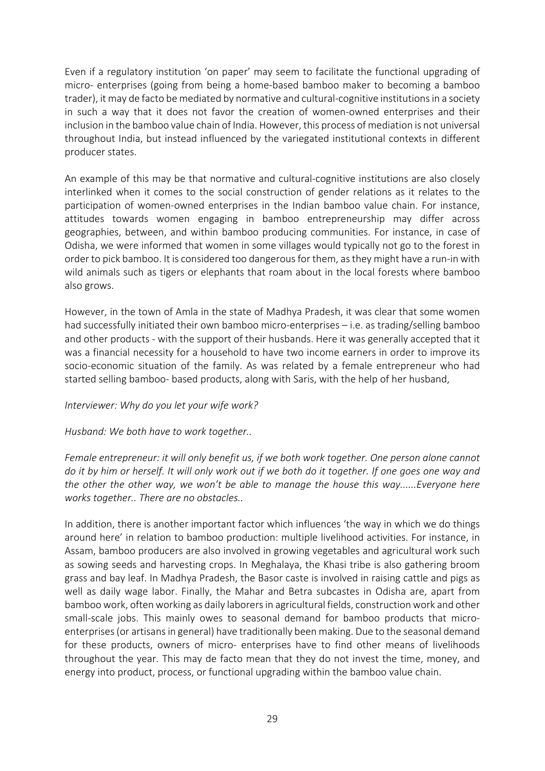Even if a regulatory institution 'on paper' may seem to facilitate the functional upgrading of micro- enterprises (going from being a home-based bamboo maker to becoming a bamboo trader), it may de facto be mediated by normative and cultural-cognitive institutions in a society in such a way that it does not favor the creation of women-owned enterprises and their inclusion in the bamboo value chain of India. However, this process of mediation is not universal throughout India, but instead influenced by the variegated institutional contexts in different producer states.

An example of this may be that normative and cultural-cognitive institutions are also closely interlinked when it comes to the social construction of gender relations as it relates to the participation of women-owned enterprises in the Indian bamboo value chain. For instance, attitudes towards women engaging in bamboo entrepreneurship may differ across geographies, between, and within bamboo producing communities. For instance, in case of Odisha, we were informed that women in some villages would typically not go to the forest in order to pick bamboo. It is considered too dangerous for them, as they might have a run-in with wild animals such as tigers or elephants that roam about in the local forests where bamboo also grows.

However, in the town of Amla in the state of Madhya Pradesh, it was clear that some women had successfully initiated their own bamboo micro-enterprises – i.e. as trading/selling bamboo and other products - with the support of their husbands. Here it was generally accepted that it was a financial necessity for a household to have two income earners in order to improve its socio-economic situation of the family. As was related by a female entrepreneur who had started selling bamboo- based products, along with Saris, with the help of her husband,

#### *Interviewer: Why do you let your wife work?*

#### *Husband: We both have to work together..*

*Female entrepreneur: it will only benefit us, if we both work together. One person alone cannot do it by him or herself. It will only work out if we both do it together. If one goes one way and the other the other way, we won't be able to manage the house this way......Everyone here works together.. There are no obstacles..* 

In addition, there is another important factor which influences 'the way in which we do things around here' in relation to bamboo production: multiple livelihood activities. For instance, in Assam, bamboo producers are also involved in growing vegetables and agricultural work such as sowing seeds and harvesting crops. In Meghalaya, the Khasi tribe is also gathering broom grass and bay leaf. In Madhya Pradesh, the Basor caste is involved in raising cattle and pigs as well as daily wage labor. Finally, the Mahar and Betra subcastes in Odisha are, apart from bamboo work, often working as daily laborers in agricultural fields, construction work and other small-scale jobs. This mainly owes to seasonal demand for bamboo products that microenterprises (or artisans in general) have traditionally been making. Due to the seasonal demand for these products, owners of micro- enterprises have to find other means of livelihoods throughout the year. This may de facto mean that they do not invest the time, money, and energy into product, process, or functional upgrading within the bamboo value chain.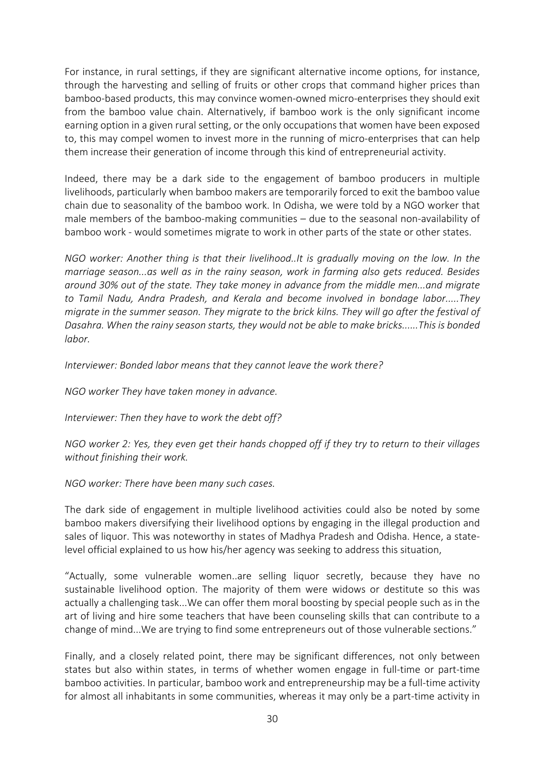For instance, in rural settings, if they are significant alternative income options, for instance, through the harvesting and selling of fruits or other crops that command higher prices than bamboo-based products, this may convince women-owned micro-enterprises they should exit from the bamboo value chain. Alternatively, if bamboo work is the only significant income earning option in a given rural setting, or the only occupations that women have been exposed to, this may compel women to invest more in the running of micro-enterprises that can help them increase their generation of income through this kind of entrepreneurial activity.

Indeed, there may be a dark side to the engagement of bamboo producers in multiple livelihoods, particularly when bamboo makers are temporarily forced to exit the bamboo value chain due to seasonality of the bamboo work. In Odisha, we were told by a NGO worker that male members of the bamboo-making communities – due to the seasonal non-availability of bamboo work - would sometimes migrate to work in other parts of the state or other states.

*NGO worker: Another thing is that their livelihood..It is gradually moving on the low. In the marriage season...as well as in the rainy season, work in farming also gets reduced. Besides around 30% out of the state. They take money in advance from the middle men...and migrate to Tamil Nadu, Andra Pradesh, and Kerala and become involved in bondage labor.....They migrate in the summer season. They migrate to the brick kilns. They will go after the festival of Dasahra. When the rainy season starts, they would not be able to make bricks......This is bonded labor.*

*Interviewer: Bonded labor means that they cannot leave the work there?* 

*NGO worker They have taken money in advance.* 

*Interviewer: Then they have to work the debt off?* 

*NGO worker 2: Yes, they even get their hands chopped off if they try to return to their villages without finishing their work.* 

*NGO worker: There have been many such cases.* 

The dark side of engagement in multiple livelihood activities could also be noted by some bamboo makers diversifying their livelihood options by engaging in the illegal production and sales of liquor. This was noteworthy in states of Madhya Pradesh and Odisha. Hence, a statelevel official explained to us how his/her agency was seeking to address this situation,

"Actually, some vulnerable women..are selling liquor secretly, because they have no sustainable livelihood option. The majority of them were widows or destitute so this was actually a challenging task...We can offer them moral boosting by special people such as in the art of living and hire some teachers that have been counseling skills that can contribute to a change of mind...We are trying to find some entrepreneurs out of those vulnerable sections."

Finally, and a closely related point, there may be significant differences, not only between states but also within states, in terms of whether women engage in full-time or part-time bamboo activities. In particular, bamboo work and entrepreneurship may be a full-time activity for almost all inhabitants in some communities, whereas it may only be a part-time activity in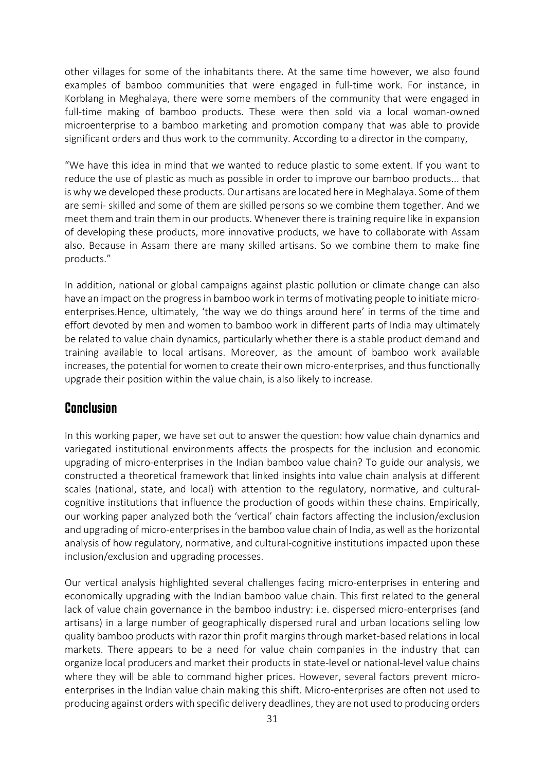other villages for some of the inhabitants there. At the same time however, we also found examples of bamboo communities that were engaged in full-time work. For instance, in Korblang in Meghalaya, there were some members of the community that were engaged in full-time making of bamboo products. These were then sold via a local woman-owned microenterprise to a bamboo marketing and promotion company that was able to provide significant orders and thus work to the community. According to a director in the company,

"We have this idea in mind that we wanted to reduce plastic to some extent. If you want to reduce the use of plastic as much as possible in order to improve our bamboo products... that is why we developed these products. Our artisans are located here in Meghalaya. Some of them are semi- skilled and some of them are skilled persons so we combine them together. And we meet them and train them in our products. Whenever there is training require like in expansion of developing these products, more innovative products, we have to collaborate with Assam also. Because in Assam there are many skilled artisans. So we combine them to make fine products."

In addition, national or global campaigns against plastic pollution or climate change can also have an impact on the progress in bamboo work in terms of motivating people to initiate microenterprises.Hence, ultimately, 'the way we do things around here' in terms of the time and effort devoted by men and women to bamboo work in different parts of India may ultimately be related to value chain dynamics, particularly whether there is a stable product demand and training available to local artisans. Moreover, as the amount of bamboo work available increases, the potential for women to create their own micro-enterprises, and thus functionally upgrade their position within the value chain, is also likely to increase.

#### **Conclusion**

In this working paper, we have set out to answer the question: how value chain dynamics and variegated institutional environments affects the prospects for the inclusion and economic upgrading of micro-enterprises in the Indian bamboo value chain? To guide our analysis, we constructed a theoretical framework that linked insights into value chain analysis at different scales (national, state, and local) with attention to the regulatory, normative, and culturalcognitive institutions that influence the production of goods within these chains. Empirically, our working paper analyzed both the 'vertical' chain factors affecting the inclusion/exclusion and upgrading of micro-enterprises in the bamboo value chain of India, as well as the horizontal analysis of how regulatory, normative, and cultural-cognitive institutions impacted upon these inclusion/exclusion and upgrading processes.

Our vertical analysis highlighted several challenges facing micro-enterprises in entering and economically upgrading with the Indian bamboo value chain. This first related to the general lack of value chain governance in the bamboo industry: i.e. dispersed micro-enterprises (and artisans) in a large number of geographically dispersed rural and urban locations selling low quality bamboo products with razor thin profit margins through market-based relations in local markets. There appears to be a need for value chain companies in the industry that can organize local producers and market their products in state-level or national-level value chains where they will be able to command higher prices. However, several factors prevent microenterprises in the Indian value chain making this shift. Micro-enterprises are often not used to producing against orders with specific delivery deadlines, they are not used to producing orders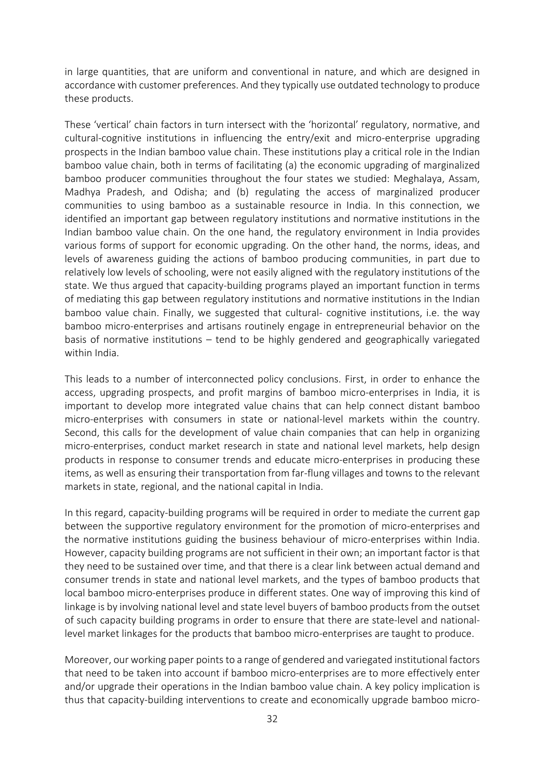in large quantities, that are uniform and conventional in nature, and which are designed in accordance with customer preferences. And they typically use outdated technology to produce these products.

These 'vertical' chain factors in turn intersect with the 'horizontal' regulatory, normative, and cultural-cognitive institutions in influencing the entry/exit and micro-enterprise upgrading prospects in the Indian bamboo value chain. These institutions play a critical role in the Indian bamboo value chain, both in terms of facilitating (a) the economic upgrading of marginalized bamboo producer communities throughout the four states we studied: Meghalaya, Assam, Madhya Pradesh, and Odisha; and (b) regulating the access of marginalized producer communities to using bamboo as a sustainable resource in India. In this connection, we identified an important gap between regulatory institutions and normative institutions in the Indian bamboo value chain. On the one hand, the regulatory environment in India provides various forms of support for economic upgrading. On the other hand, the norms, ideas, and levels of awareness guiding the actions of bamboo producing communities, in part due to relatively low levels of schooling, were not easily aligned with the regulatory institutions of the state. We thus argued that capacity-building programs played an important function in terms of mediating this gap between regulatory institutions and normative institutions in the Indian bamboo value chain. Finally, we suggested that cultural- cognitive institutions, i.e. the way bamboo micro-enterprises and artisans routinely engage in entrepreneurial behavior on the basis of normative institutions – tend to be highly gendered and geographically variegated within India.

This leads to a number of interconnected policy conclusions. First, in order to enhance the access, upgrading prospects, and profit margins of bamboo micro-enterprises in India, it is important to develop more integrated value chains that can help connect distant bamboo micro-enterprises with consumers in state or national-level markets within the country. Second, this calls for the development of value chain companies that can help in organizing micro-enterprises, conduct market research in state and national level markets, help design products in response to consumer trends and educate micro-enterprises in producing these items, as well as ensuring their transportation from far-flung villages and towns to the relevant markets in state, regional, and the national capital in India.

In this regard, capacity-building programs will be required in order to mediate the current gap between the supportive regulatory environment for the promotion of micro-enterprises and the normative institutions guiding the business behaviour of micro-enterprises within India. However, capacity building programs are not sufficient in their own; an important factor is that they need to be sustained over time, and that there is a clear link between actual demand and consumer trends in state and national level markets, and the types of bamboo products that local bamboo micro-enterprises produce in different states. One way of improving this kind of linkage is by involving national level and state level buyers of bamboo products from the outset of such capacity building programs in order to ensure that there are state-level and nationallevel market linkages for the products that bamboo micro-enterprises are taught to produce.

Moreover, our working paper points to a range of gendered and variegated institutional factors that need to be taken into account if bamboo micro-enterprises are to more effectively enter and/or upgrade their operations in the Indian bamboo value chain. A key policy implication is thus that capacity-building interventions to create and economically upgrade bamboo micro-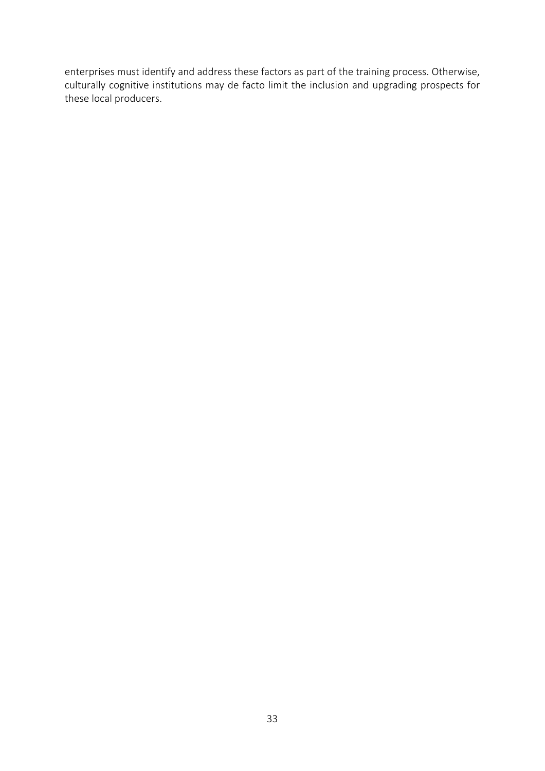enterprises must identify and address these factors as part of the training process. Otherwise, culturally cognitive institutions may de facto limit the inclusion and upgrading prospects for these local producers.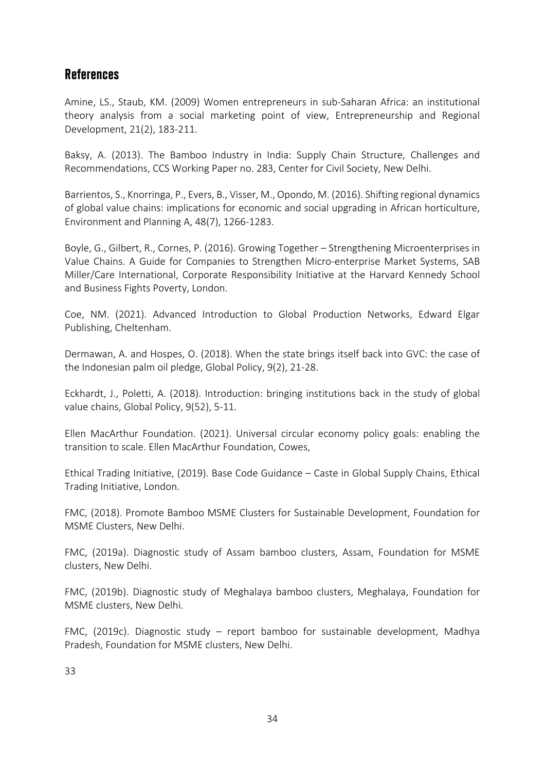#### **References**

Amine, LS., Staub, KM. (2009) Women entrepreneurs in sub-Saharan Africa: an institutional theory analysis from a social marketing point of view, Entrepreneurship and Regional Development, 21(2), 183-211.

Baksy, A. (2013). The Bamboo Industry in India: Supply Chain Structure, Challenges and Recommendations, CCS Working Paper no. 283, Center for Civil Society, New Delhi.

Barrientos, S., Knorringa, P., Evers, B., Visser, M., Opondo, M. (2016). Shifting regional dynamics of global value chains: implications for economic and social upgrading in African horticulture, Environment and Planning A, 48(7), 1266-1283.

Boyle, G., Gilbert, R., Cornes, P. (2016). Growing Together – Strengthening Microenterprises in Value Chains. A Guide for Companies to Strengthen Micro-enterprise Market Systems, SAB Miller/Care International, Corporate Responsibility Initiative at the Harvard Kennedy School and Business Fights Poverty, London.

Coe, NM. (2021). Advanced Introduction to Global Production Networks, Edward Elgar Publishing, Cheltenham.

Dermawan, A. and Hospes, O. (2018). When the state brings itself back into GVC: the case of the Indonesian palm oil pledge, Global Policy, 9(2), 21-28.

Eckhardt, J., Poletti, A. (2018). Introduction: bringing institutions back in the study of global value chains, Global Policy, 9(52), 5-11.

Ellen MacArthur Foundation. (2021). Universal circular economy policy goals: enabling the transition to scale. Ellen MacArthur Foundation, Cowes,

Ethical Trading Initiative, (2019). Base Code Guidance – Caste in Global Supply Chains, Ethical Trading Initiative, London.

FMC, (2018). Promote Bamboo MSME Clusters for Sustainable Development, Foundation for MSME Clusters, New Delhi.

FMC, (2019a). Diagnostic study of Assam bamboo clusters, Assam, Foundation for MSME clusters, New Delhi.

FMC, (2019b). Diagnostic study of Meghalaya bamboo clusters, Meghalaya, Foundation for MSME clusters, New Delhi.

FMC, (2019c). Diagnostic study – report bamboo for sustainable development, Madhya Pradesh, Foundation for MSME clusters, New Delhi.

33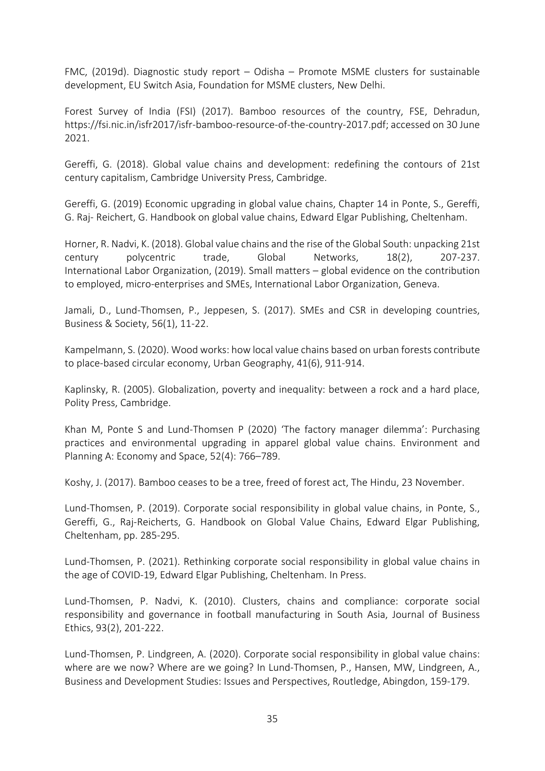FMC, (2019d). Diagnostic study report – Odisha – Promote MSME clusters for sustainable development, EU Switch Asia, Foundation for MSME clusters, New Delhi.

Forest Survey of India (FSI) (2017). Bamboo resources of the country, FSE, Dehradun, https://fsi.nic.in/isfr2017/isfr-bamboo-resource-of-the-country-2017.pdf; accessed on 30 June 2021.

Gereffi, G. (2018). Global value chains and development: redefining the contours of 21st century capitalism, Cambridge University Press, Cambridge.

Gereffi, G. (2019) Economic upgrading in global value chains, Chapter 14 in Ponte, S., Gereffi, G. Raj- Reichert, G. Handbook on global value chains, Edward Elgar Publishing, Cheltenham.

Horner, R. Nadvi, K. (2018). Global value chains and the rise of the Global South: unpacking 21st century polycentric trade, Global Networks, 18(2), 207-237. International Labor Organization, (2019). Small matters – global evidence on the contribution to employed, micro-enterprises and SMEs, International Labor Organization, Geneva.

Jamali, D., Lund-Thomsen, P., Jeppesen, S. (2017). SMEs and CSR in developing countries, Business & Society, 56(1), 11-22.

Kampelmann, S. (2020). Wood works: how local value chains based on urban forests contribute to place-based circular economy, Urban Geography, 41(6), 911-914.

Kaplinsky, R. (2005). Globalization, poverty and inequality: between a rock and a hard place, Polity Press, Cambridge.

Khan M, Ponte S and Lund-Thomsen P (2020) 'The factory manager dilemma': Purchasing practices and environmental upgrading in apparel global value chains. Environment and Planning A: Economy and Space, 52(4): 766–789.

Koshy, J. (2017). Bamboo ceases to be a tree, freed of forest act, The Hindu, 23 November.

Lund-Thomsen, P. (2019). Corporate social responsibility in global value chains, in Ponte, S., Gereffi, G., Raj-Reicherts, G. Handbook on Global Value Chains, Edward Elgar Publishing, Cheltenham, pp. 285-295.

Lund-Thomsen, P. (2021). Rethinking corporate social responsibility in global value chains in the age of COVID-19, Edward Elgar Publishing, Cheltenham. In Press.

Lund-Thomsen, P. Nadvi, K. (2010). Clusters, chains and compliance: corporate social responsibility and governance in football manufacturing in South Asia, Journal of Business Ethics, 93(2), 201-222.

Lund-Thomsen, P. Lindgreen, A. (2020). Corporate social responsibility in global value chains: where are we now? Where are we going? In Lund-Thomsen, P., Hansen, MW, Lindgreen, A., Business and Development Studies: Issues and Perspectives, Routledge, Abingdon, 159-179.